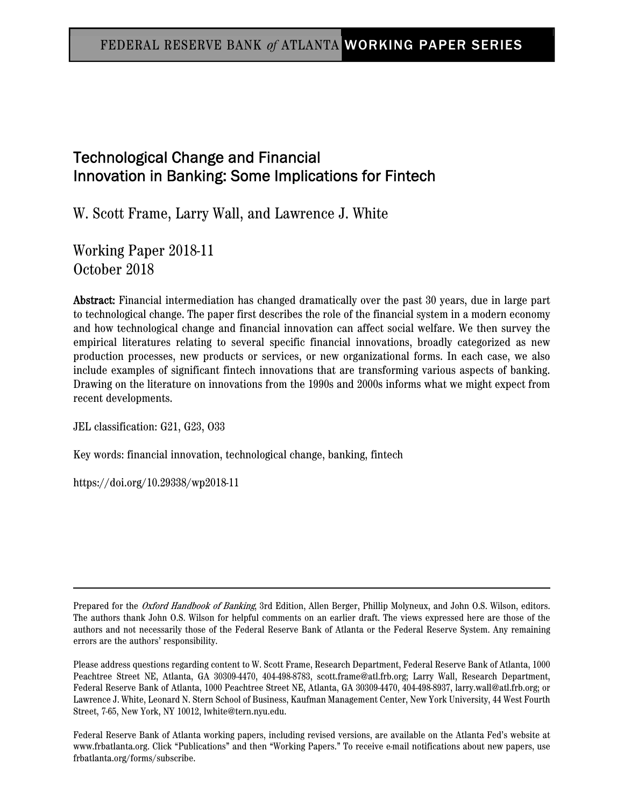# Technological Change and Financial Innovation in Banking: Some Implications for Fintech

W. Scott Frame, Larry Wall, and Lawrence J. White

Working Paper 2018-11 October 2018

Abstract: Financial intermediation has changed dramatically over the past 30 years, due in large part to technological change. The paper first describes the role of the financial system in a modern economy and how technological change and financial innovation can affect social welfare. We then survey the empirical literatures relating to several specific financial innovations, broadly categorized as new production processes, new products or services, or new organizational forms. In each case, we also include examples of significant fintech innovations that are transforming various aspects of banking. Drawing on the literature on innovations from the 1990s and 2000s informs what we might expect from recent developments.

JEL classification: G21, G23, O33

Key words: financial innovation, technological change, banking, fintech

https://doi.org/10.29338/wp2018-11

Prepared for the Oxford Handbook of Banking, 3rd Edition, Allen Berger, Phillip Molyneux, and John O.S. Wilson, editors. The authors thank John O.S. Wilson for helpful comments on an earlier draft. The views expressed here are those of the authors and not necessarily those of the Federal Reserve Bank of Atlanta or the Federal Reserve System. Any remaining errors are the authors' responsibility.

Please address questions regarding content to W. Scott Frame, Research Department, Federal Reserve Bank of Atlanta, 1000 Peachtree Street NE, Atlanta, GA 30309-4470, 404-498-8783, scott.frame@atl.frb.org; Larry Wall, Research Department, Federal Reserve Bank of Atlanta, 1000 Peachtree Street NE, Atlanta, GA 30309-4470, 404-498-8937, larry.wall@atl.frb.org; or Lawrence J. White, Leonard N. Stern School of Business, Kaufman Management Center, New York University, 44 West Fourth Street, 7-65, New York, NY 10012, lwhite@tern.nyu.edu.

Federal Reserve Bank of Atlanta working papers, including revised versions, are available on the Atlanta Fed's website at www.frbatlanta.org. Click "Publications" and then "Working Papers." To receive e-mail notifications about new papers, use frbatlanta.org/forms/subscribe.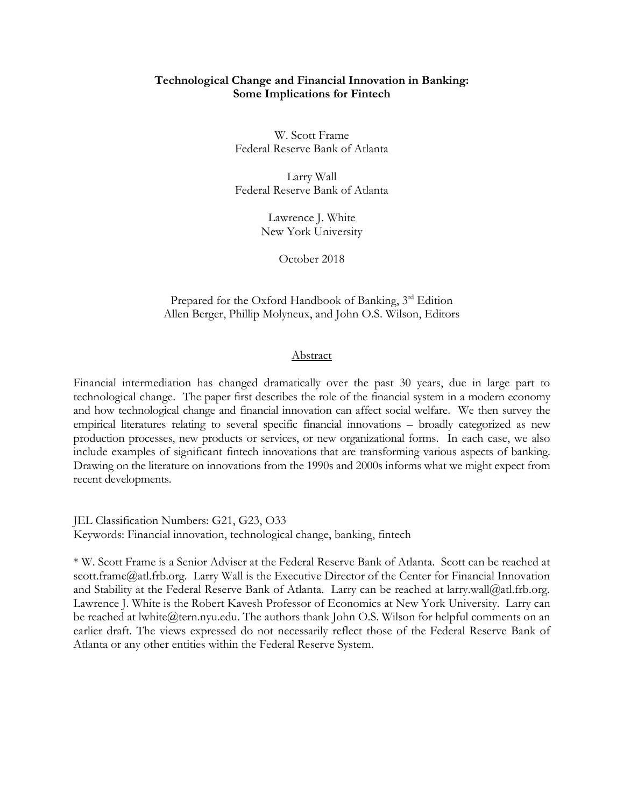# **Technological Change and Financial Innovation in Banking: Some Implications for Fintech**

W. Scott Frame Federal Reserve Bank of Atlanta

Larry Wall Federal Reserve Bank of Atlanta

> Lawrence J. White New York University

> > October 2018

Prepared for the Oxford Handbook of Banking, 3<sup>rd</sup> Edition Allen Berger, Phillip Molyneux, and John O.S. Wilson, Editors

# Abstract

Financial intermediation has changed dramatically over the past 30 years, due in large part to technological change. The paper first describes the role of the financial system in a modern economy and how technological change and financial innovation can affect social welfare. We then survey the empirical literatures relating to several specific financial innovations – broadly categorized as new production processes, new products or services, or new organizational forms. In each case, we also include examples of significant fintech innovations that are transforming various aspects of banking. Drawing on the literature on innovations from the 1990s and 2000s informs what we might expect from recent developments.

JEL Classification Numbers: G21, G23, O33 Keywords: Financial innovation, technological change, banking, fintech

\* W. Scott Frame is a Senior Adviser at the Federal Reserve Bank of Atlanta. Scott can be reached at scott.frame@atl.frb.org. Larry Wall is the Executive Director of the Center for Financial Innovation and Stability at the Federal Reserve Bank of Atlanta. Larry can be reached at larry.wall@atl.frb.org. Lawrence J. White is the Robert Kavesh Professor of Economics at New York University. Larry can be reached at lwhite@tern.nyu.edu. The authors thank John O.S. Wilson for helpful comments on an earlier draft. The views expressed do not necessarily reflect those of the Federal Reserve Bank of Atlanta or any other entities within the Federal Reserve System.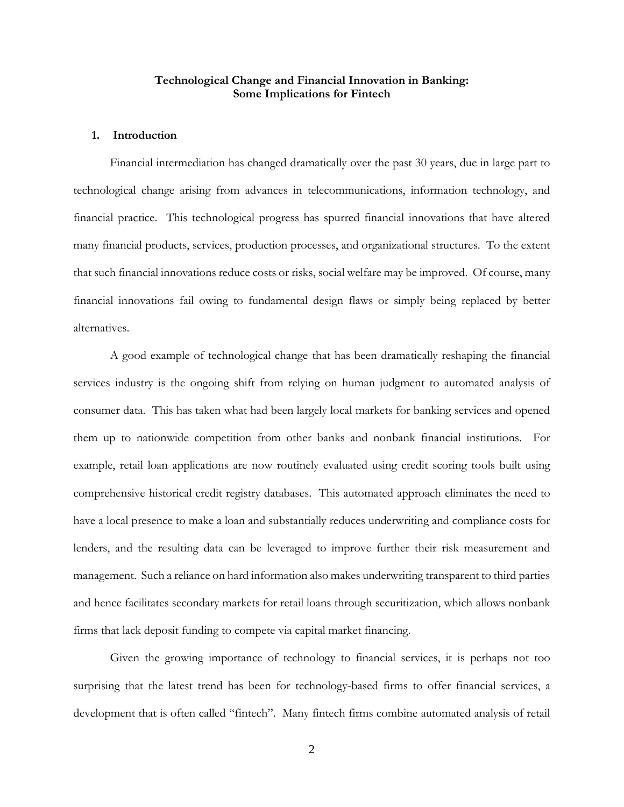# **Technological Change and Financial Innovation in Banking: Some Implications for Fintech**

#### **1. Introduction**

Financial intermediation has changed dramatically over the past 30 years, due in large part to technological change arising from advances in telecommunications, information technology, and financial practice. This technological progress has spurred financial innovations that have altered many financial products, services, production processes, and organizational structures. To the extent that such financial innovations reduce costs or risks, social welfare may be improved. Of course, many financial innovations fail owing to fundamental design flaws or simply being replaced by better alternatives.

A good example of technological change that has been dramatically reshaping the financial services industry is the ongoing shift from relying on human judgment to automated analysis of consumer data. This has taken what had been largely local markets for banking services and opened them up to nationwide competition from other banks and nonbank financial institutions. For example, retail loan applications are now routinely evaluated using credit scoring tools built using comprehensive historical credit registry databases. This automated approach eliminates the need to have a local presence to make a loan and substantially reduces underwriting and compliance costs for lenders, and the resulting data can be leveraged to improve further their risk measurement and management. Such a reliance on hard information also makes underwriting transparent to third parties and hence facilitates secondary markets for retail loans through securitization, which allows nonbank firms that lack deposit funding to compete via capital market financing.

Given the growing importance of technology to financial services, it is perhaps not too surprising that the latest trend has been for technology-based firms to offer financial services, a development that is often called "fintech". Many fintech firms combine automated analysis of retail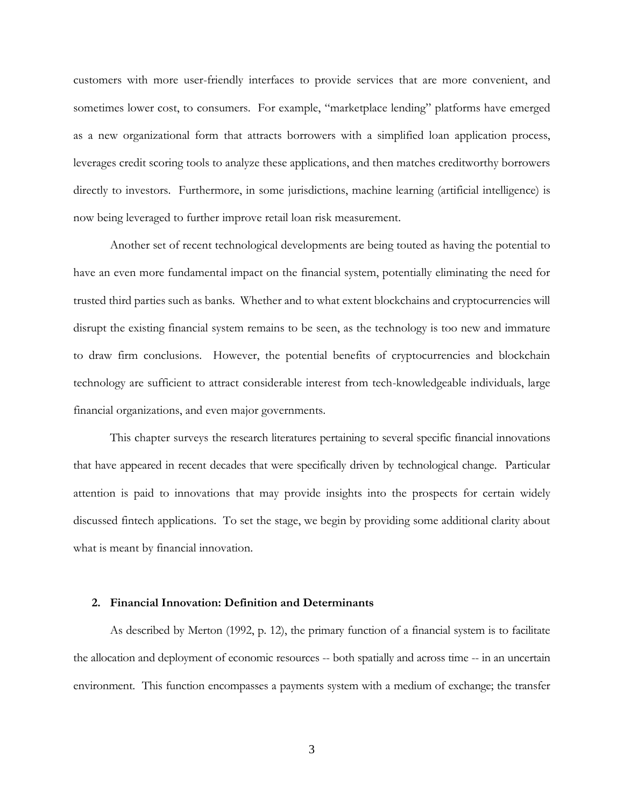customers with more user-friendly interfaces to provide services that are more convenient, and sometimes lower cost, to consumers. For example, "marketplace lending" platforms have emerged as a new organizational form that attracts borrowers with a simplified loan application process, leverages credit scoring tools to analyze these applications, and then matches creditworthy borrowers directly to investors. Furthermore, in some jurisdictions, machine learning (artificial intelligence) is now being leveraged to further improve retail loan risk measurement.

Another set of recent technological developments are being touted as having the potential to have an even more fundamental impact on the financial system, potentially eliminating the need for trusted third parties such as banks. Whether and to what extent blockchains and cryptocurrencies will disrupt the existing financial system remains to be seen, as the technology is too new and immature to draw firm conclusions. However, the potential benefits of cryptocurrencies and blockchain technology are sufficient to attract considerable interest from tech-knowledgeable individuals, large financial organizations, and even major governments.

This chapter surveys the research literatures pertaining to several specific financial innovations that have appeared in recent decades that were specifically driven by technological change. Particular attention is paid to innovations that may provide insights into the prospects for certain widely discussed fintech applications. To set the stage, we begin by providing some additional clarity about what is meant by financial innovation.

#### **2. Financial Innovation: Definition and Determinants**

As described by Merton (1992, p. 12), the primary function of a financial system is to facilitate the allocation and deployment of economic resources -- both spatially and across time -- in an uncertain environment. This function encompasses a payments system with a medium of exchange; the transfer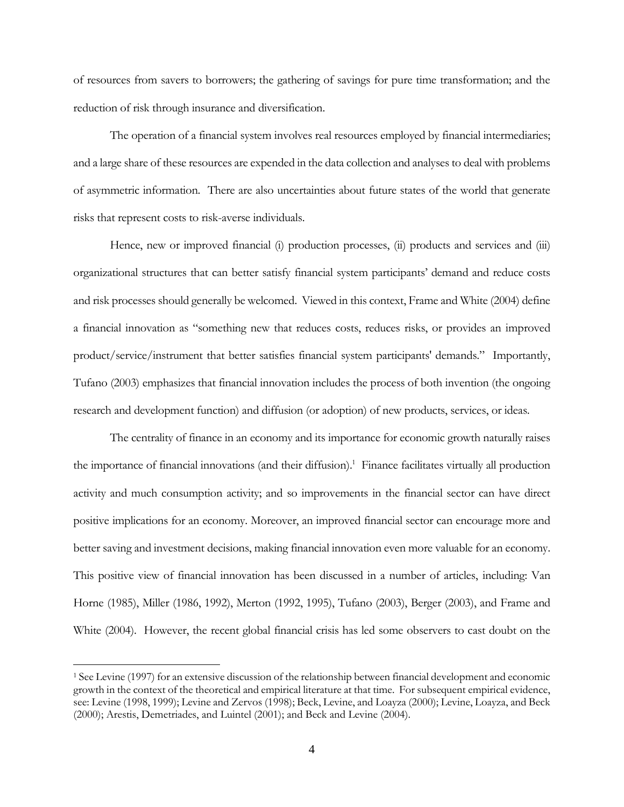of resources from savers to borrowers; the gathering of savings for pure time transformation; and the reduction of risk through insurance and diversification.

The operation of a financial system involves real resources employed by financial intermediaries; and a large share of these resources are expended in the data collection and analyses to deal with problems of asymmetric information. There are also uncertainties about future states of the world that generate risks that represent costs to risk-averse individuals.

Hence, new or improved financial (i) production processes, (ii) products and services and (iii) organizational structures that can better satisfy financial system participants' demand and reduce costs and risk processes should generally be welcomed. Viewed in this context, Frame and White (2004) define a financial innovation as "something new that reduces costs, reduces risks, or provides an improved product/service/instrument that better satisfies financial system participants' demands." Importantly, Tufano (2003) emphasizes that financial innovation includes the process of both invention (the ongoing research and development function) and diffusion (or adoption) of new products, services, or ideas.

The centrality of finance in an economy and its importance for economic growth naturally raises the importance of financial innovations (and their diffusion).<sup>1</sup> Finance facilitates virtually all production activity and much consumption activity; and so improvements in the financial sector can have direct positive implications for an economy. Moreover, an improved financial sector can encourage more and better saving and investment decisions, making financial innovation even more valuable for an economy. This positive view of financial innovation has been discussed in a number of articles, including: Van Horne (1985), Miller (1986, 1992), Merton (1992, 1995), Tufano (2003), Berger (2003), and Frame and White (2004). However, the recent global financial crisis has led some observers to cast doubt on the

<sup>1</sup> See Levine (1997) for an extensive discussion of the relationship between financial development and economic growth in the context of the theoretical and empirical literature at that time. For subsequent empirical evidence, see: Levine (1998, 1999); Levine and Zervos (1998); Beck, Levine, and Loayza (2000); Levine, Loayza, and Beck (2000); Arestis, Demetriades, and Luintel (2001); and Beck and Levine (2004).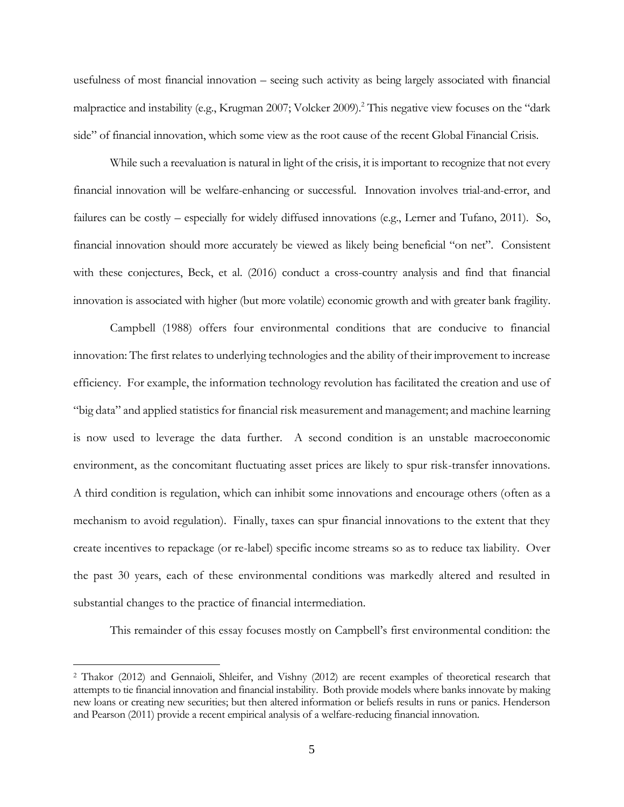usefulness of most financial innovation – seeing such activity as being largely associated with financial malpractice and instability (e.g., Krugman 2007; Volcker 2009).<sup>2</sup> This negative view focuses on the "dark" side" of financial innovation, which some view as the root cause of the recent Global Financial Crisis.

While such a reevaluation is natural in light of the crisis, it is important to recognize that not every financial innovation will be welfare-enhancing or successful. Innovation involves trial-and-error, and failures can be costly – especially for widely diffused innovations (e.g., Lerner and Tufano, 2011). So, financial innovation should more accurately be viewed as likely being beneficial "on net". Consistent with these conjectures, Beck, et al. (2016) conduct a cross-country analysis and find that financial innovation is associated with higher (but more volatile) economic growth and with greater bank fragility.

Campbell (1988) offers four environmental conditions that are conducive to financial innovation: The first relates to underlying technologies and the ability of their improvement to increase efficiency. For example, the information technology revolution has facilitated the creation and use of "big data" and applied statistics for financial risk measurement and management; and machine learning is now used to leverage the data further. A second condition is an unstable macroeconomic environment, as the concomitant fluctuating asset prices are likely to spur risk-transfer innovations. A third condition is regulation, which can inhibit some innovations and encourage others (often as a mechanism to avoid regulation). Finally, taxes can spur financial innovations to the extent that they create incentives to repackage (or re-label) specific income streams so as to reduce tax liability. Over the past 30 years, each of these environmental conditions was markedly altered and resulted in substantial changes to the practice of financial intermediation.

This remainder of this essay focuses mostly on Campbell's first environmental condition: the

<sup>2</sup> Thakor (2012) and Gennaioli, Shleifer, and Vishny (2012) are recent examples of theoretical research that attempts to tie financial innovation and financial instability. Both provide models where banks innovate by making new loans or creating new securities; but then altered information or beliefs results in runs or panics. Henderson and Pearson (2011) provide a recent empirical analysis of a welfare-reducing financial innovation.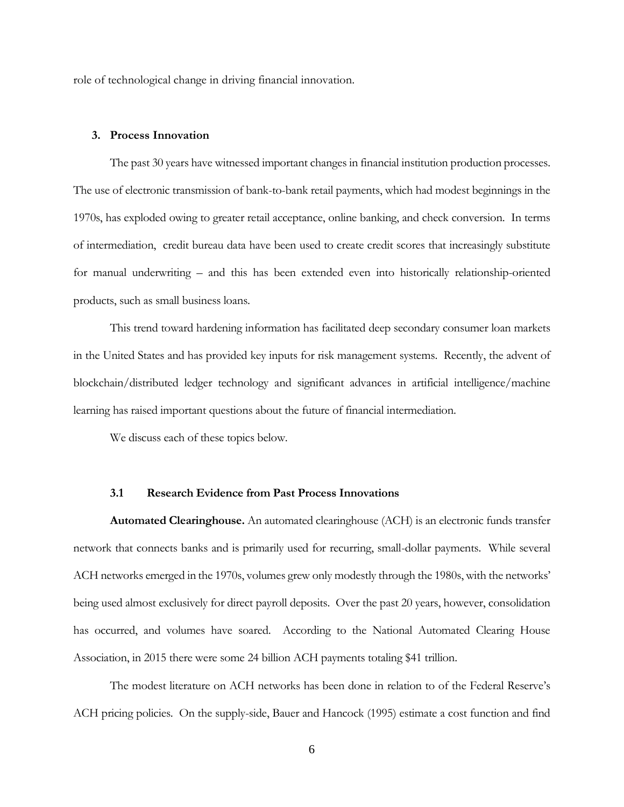role of technological change in driving financial innovation.

# **3. Process Innovation**

The past 30 years have witnessed important changes in financial institution production processes. The use of electronic transmission of bank-to-bank retail payments, which had modest beginnings in the 1970s, has exploded owing to greater retail acceptance, online banking, and check conversion. In terms of intermediation, credit bureau data have been used to create credit scores that increasingly substitute for manual underwriting – and this has been extended even into historically relationship-oriented products, such as small business loans.

This trend toward hardening information has facilitated deep secondary consumer loan markets in the United States and has provided key inputs for risk management systems. Recently, the advent of blockchain/distributed ledger technology and significant advances in artificial intelligence/machine learning has raised important questions about the future of financial intermediation.

We discuss each of these topics below.

#### **3.1 Research Evidence from Past Process Innovations**

**Automated Clearinghouse.** An automated clearinghouse (ACH) is an electronic funds transfer network that connects banks and is primarily used for recurring, small-dollar payments. While several ACH networks emerged in the 1970s, volumes grew only modestly through the 1980s, with the networks' being used almost exclusively for direct payroll deposits. Over the past 20 years, however, consolidation has occurred, and volumes have soared. According to the National Automated Clearing House Association, in 2015 there were some 24 billion ACH payments totaling \$41 trillion.

The modest literature on ACH networks has been done in relation to of the Federal Reserve's ACH pricing policies. On the supply-side, Bauer and Hancock (1995) estimate a cost function and find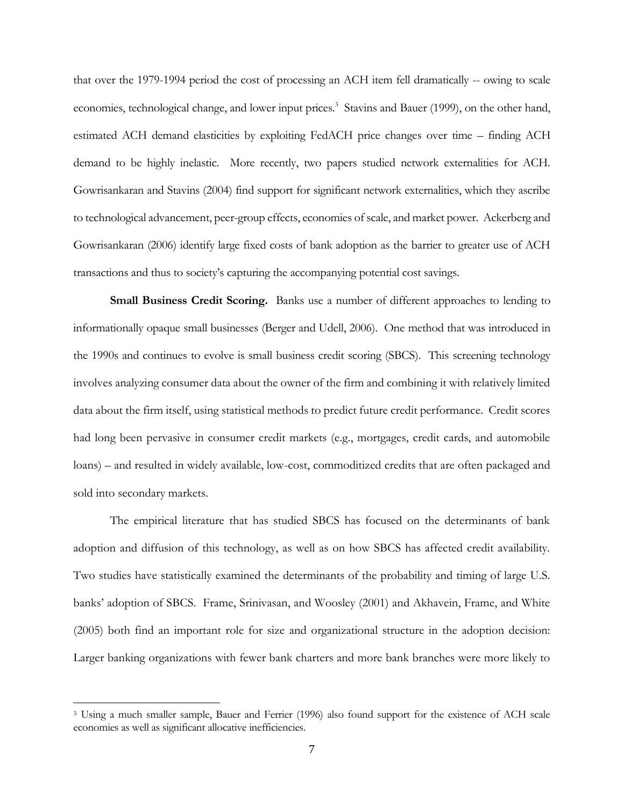that over the 1979-1994 period the cost of processing an ACH item fell dramatically -- owing to scale economies, technological change, and lower input prices.<sup>3</sup> Stavins and Bauer (1999), on the other hand, estimated ACH demand elasticities by exploiting FedACH price changes over time – finding ACH demand to be highly inelastic. More recently, two papers studied network externalities for ACH. Gowrisankaran and Stavins (2004) find support for significant network externalities, which they ascribe to technological advancement, peer-group effects, economies of scale, and market power. Ackerberg and Gowrisankaran (2006) identify large fixed costs of bank adoption as the barrier to greater use of ACH transactions and thus to society's capturing the accompanying potential cost savings.

**Small Business Credit Scoring.** Banks use a number of different approaches to lending to informationally opaque small businesses (Berger and Udell, 2006). One method that was introduced in the 1990s and continues to evolve is small business credit scoring (SBCS). This screening technology involves analyzing consumer data about the owner of the firm and combining it with relatively limited data about the firm itself, using statistical methods to predict future credit performance. Credit scores had long been pervasive in consumer credit markets (e.g., mortgages, credit cards, and automobile loans) – and resulted in widely available, low-cost, commoditized credits that are often packaged and sold into secondary markets.

The empirical literature that has studied SBCS has focused on the determinants of bank adoption and diffusion of this technology, as well as on how SBCS has affected credit availability. Two studies have statistically examined the determinants of the probability and timing of large U.S. banks' adoption of SBCS. Frame, Srinivasan, and Woosley (2001) and Akhavein, Frame, and White (2005) both find an important role for size and organizational structure in the adoption decision: Larger banking organizations with fewer bank charters and more bank branches were more likely to

<sup>&</sup>lt;sup>3</sup> Using a much smaller sample, Bauer and Ferrier (1996) also found support for the existence of ACH scale economies as well as significant allocative inefficiencies.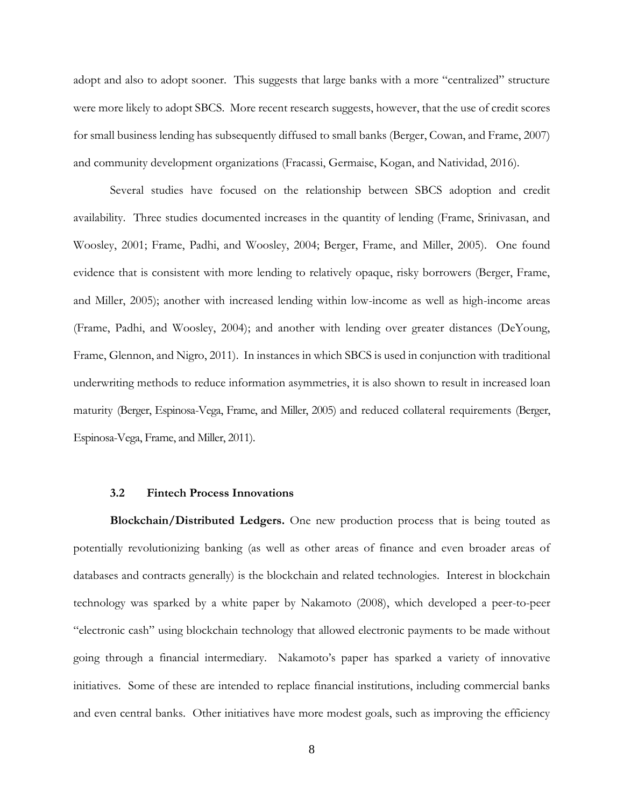adopt and also to adopt sooner. This suggests that large banks with a more "centralized" structure were more likely to adopt SBCS. More recent research suggests, however, that the use of credit scores for small business lending has subsequently diffused to small banks (Berger, Cowan, and Frame, 2007) and community development organizations (Fracassi, Germaise, Kogan, and Natividad, 2016).

Several studies have focused on the relationship between SBCS adoption and credit availability. Three studies documented increases in the quantity of lending (Frame, Srinivasan, and Woosley, 2001; Frame, Padhi, and Woosley, 2004; Berger, Frame, and Miller, 2005). One found evidence that is consistent with more lending to relatively opaque, risky borrowers (Berger, Frame, and Miller, 2005); another with increased lending within low-income as well as high-income areas (Frame, Padhi, and Woosley, 2004); and another with lending over greater distances (DeYoung, Frame, Glennon, and Nigro, 2011). In instances in which SBCS is used in conjunction with traditional underwriting methods to reduce information asymmetries, it is also shown to result in increased loan maturity (Berger, Espinosa-Vega, Frame, and Miller, 2005) and reduced collateral requirements (Berger, Espinosa-Vega, Frame, and Miller, 2011).

# **3.2 Fintech Process Innovations**

**Blockchain/Distributed Ledgers.** One new production process that is being touted as potentially revolutionizing banking (as well as other areas of finance and even broader areas of databases and contracts generally) is the blockchain and related technologies. Interest in blockchain technology was sparked by a white paper by Nakamoto (2008), which developed a peer-to-peer "electronic cash" using blockchain technology that allowed electronic payments to be made without going through a financial intermediary. Nakamoto's paper has sparked a variety of innovative initiatives. Some of these are intended to replace financial institutions, including commercial banks and even central banks. Other initiatives have more modest goals, such as improving the efficiency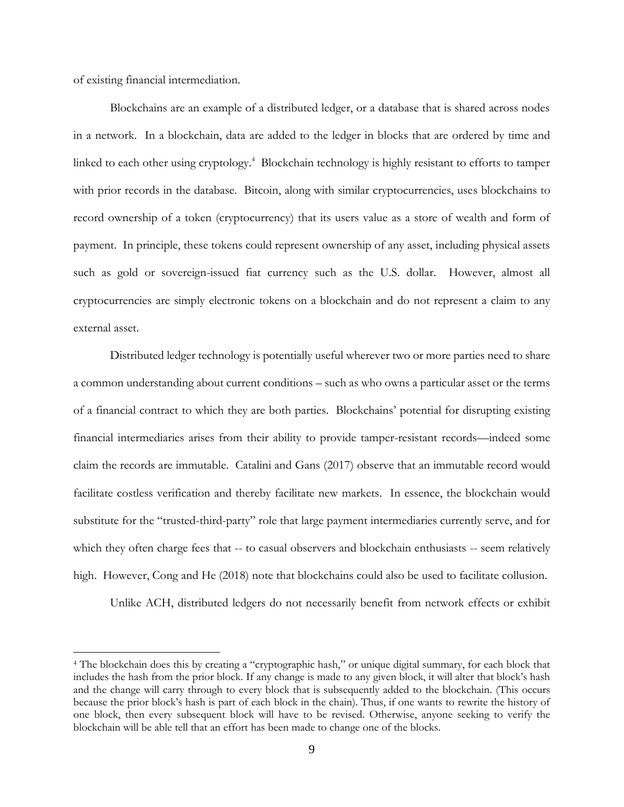of existing financial intermediation.

 $\overline{a}$ 

Blockchains are an example of a distributed ledger, or a database that is shared across nodes in a network. In a blockchain, data are added to the ledger in blocks that are ordered by time and linked to each other using cryptology.<sup>4</sup> Blockchain technology is highly resistant to efforts to tamper with prior records in the database. Bitcoin, along with similar cryptocurrencies, uses blockchains to record ownership of a token (cryptocurrency) that its users value as a store of wealth and form of payment. In principle, these tokens could represent ownership of any asset, including physical assets such as gold or sovereign-issued fiat currency such as the U.S. dollar. However, almost all cryptocurrencies are simply electronic tokens on a blockchain and do not represent a claim to any external asset.

Distributed ledger technology is potentially useful wherever two or more parties need to share a common understanding about current conditions – such as who owns a particular asset or the terms of a financial contract to which they are both parties. Blockchains' potential for disrupting existing financial intermediaries arises from their ability to provide tamper-resistant records—indeed some claim the records are immutable. Catalini and Gans (2017) observe that an immutable record would facilitate costless verification and thereby facilitate new markets. In essence, the blockchain would substitute for the "trusted-third-party" role that large payment intermediaries currently serve, and for which they often charge fees that -- to casual observers and blockchain enthusiasts -- seem relatively high. However, Cong and He (2018) note that blockchains could also be used to facilitate collusion.

Unlike ACH, distributed ledgers do not necessarily benefit from network effects or exhibit

<sup>4</sup> The blockchain does this by creating a "cryptographic hash," or unique digital summary, for each block that includes the hash from the prior block. If any change is made to any given block, it will alter that block's hash and the change will carry through to every block that is subsequently added to the blockchain. (This occurs because the prior block's hash is part of each block in the chain). Thus, if one wants to rewrite the history of one block, then every subsequent block will have to be revised. Otherwise, anyone seeking to verify the blockchain will be able tell that an effort has been made to change one of the blocks.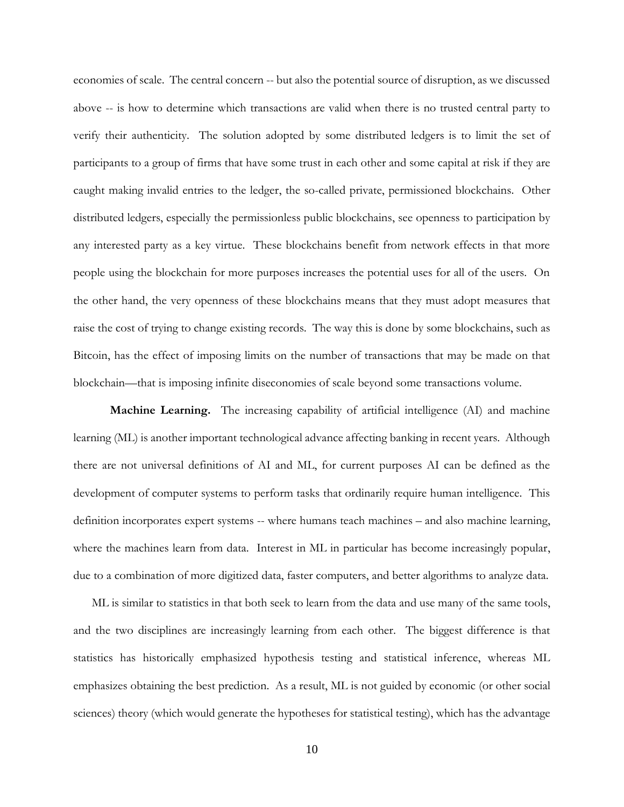economies of scale. The central concern -- but also the potential source of disruption, as we discussed above -- is how to determine which transactions are valid when there is no trusted central party to verify their authenticity. The solution adopted by some distributed ledgers is to limit the set of participants to a group of firms that have some trust in each other and some capital at risk if they are caught making invalid entries to the ledger, the so-called private, permissioned blockchains. Other distributed ledgers, especially the permissionless public blockchains, see openness to participation by any interested party as a key virtue. These blockchains benefit from network effects in that more people using the blockchain for more purposes increases the potential uses for all of the users. On the other hand, the very openness of these blockchains means that they must adopt measures that raise the cost of trying to change existing records. The way this is done by some blockchains, such as Bitcoin, has the effect of imposing limits on the number of transactions that may be made on that blockchain—that is imposing infinite diseconomies of scale beyond some transactions volume.

**Machine Learning.** The increasing capability of artificial intelligence (AI) and machine learning (ML) is another important technological advance affecting banking in recent years. Although there are not universal definitions of AI and ML, for current purposes AI can be defined as the development of computer systems to perform tasks that ordinarily require human intelligence. This definition incorporates expert systems -- where humans teach machines – and also machine learning, where the machines learn from data. Interest in ML in particular has become increasingly popular, due to a combination of more digitized data, faster computers, and better algorithms to analyze data.

ML is similar to statistics in that both seek to learn from the data and use many of the same tools, and the two disciplines are increasingly learning from each other. The biggest difference is that statistics has historically emphasized hypothesis testing and statistical inference, whereas ML emphasizes obtaining the best prediction. As a result, ML is not guided by economic (or other social sciences) theory (which would generate the hypotheses for statistical testing), which has the advantage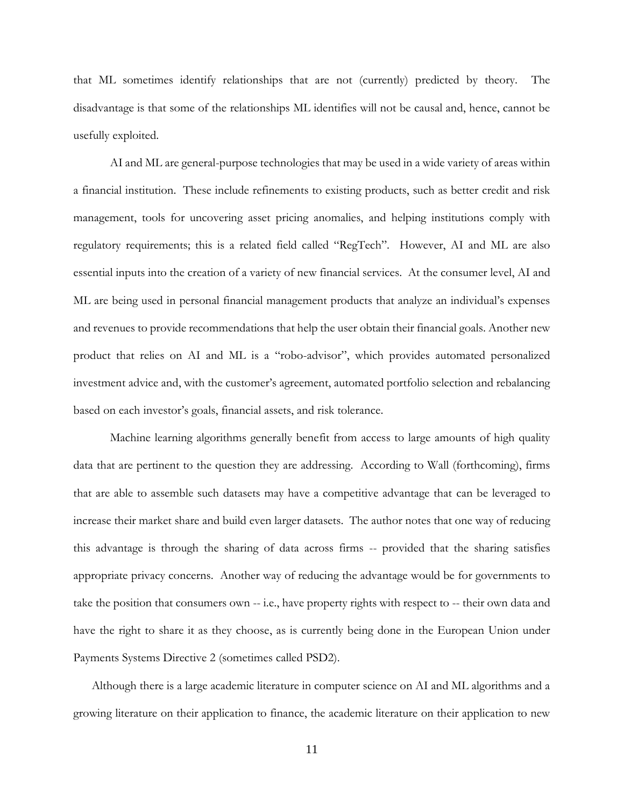that ML sometimes identify relationships that are not (currently) predicted by theory. The disadvantage is that some of the relationships ML identifies will not be causal and, hence, cannot be usefully exploited.

AI and ML are general-purpose technologies that may be used in a wide variety of areas within a financial institution. These include refinements to existing products, such as better credit and risk management, tools for uncovering asset pricing anomalies, and helping institutions comply with regulatory requirements; this is a related field called "RegTech". However, AI and ML are also essential inputs into the creation of a variety of new financial services. At the consumer level, AI and ML are being used in personal financial management products that analyze an individual's expenses and revenues to provide recommendations that help the user obtain their financial goals. Another new product that relies on AI and ML is a "robo-advisor", which provides automated personalized investment advice and, with the customer's agreement, automated portfolio selection and rebalancing based on each investor's goals, financial assets, and risk tolerance.

Machine learning algorithms generally benefit from access to large amounts of high quality data that are pertinent to the question they are addressing. According to Wall (forthcoming), firms that are able to assemble such datasets may have a competitive advantage that can be leveraged to increase their market share and build even larger datasets. The author notes that one way of reducing this advantage is through the sharing of data across firms -- provided that the sharing satisfies appropriate privacy concerns. Another way of reducing the advantage would be for governments to take the position that consumers own -- i.e., have property rights with respect to -- their own data and have the right to share it as they choose, as is currently being done in the European Union under Payments Systems Directive 2 (sometimes called PSD2).

Although there is a large academic literature in computer science on AI and ML algorithms and a growing literature on their application to finance, the academic literature on their application to new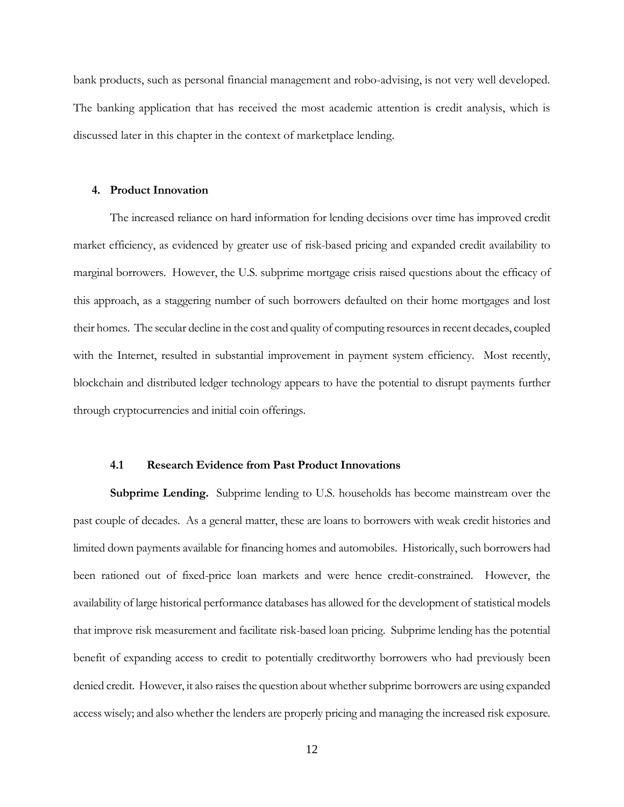bank products, such as personal financial management and robo-advising, is not very well developed. The banking application that has received the most academic attention is credit analysis, which is discussed later in this chapter in the context of marketplace lending.

#### **4. Product Innovation**

The increased reliance on hard information for lending decisions over time has improved credit market efficiency, as evidenced by greater use of risk-based pricing and expanded credit availability to marginal borrowers. However, the U.S. subprime mortgage crisis raised questions about the efficacy of this approach, as a staggering number of such borrowers defaulted on their home mortgages and lost their homes. The secular decline in the cost and quality of computing resources in recent decades, coupled with the Internet, resulted in substantial improvement in payment system efficiency. Most recently, blockchain and distributed ledger technology appears to have the potential to disrupt payments further through cryptocurrencies and initial coin offerings.

#### **4.1 Research Evidence from Past Product Innovations**

**Subprime Lending.** Subprime lending to U.S. households has become mainstream over the past couple of decades. As a general matter, these are loans to borrowers with weak credit histories and limited down payments available for financing homes and automobiles. Historically, such borrowers had been rationed out of fixed-price loan markets and were hence credit-constrained. However, the availability of large historical performance databases has allowed for the development of statistical models that improve risk measurement and facilitate risk-based loan pricing. Subprime lending has the potential benefit of expanding access to credit to potentially creditworthy borrowers who had previously been denied credit. However, it also raises the question about whether subprime borrowers are using expanded access wisely; and also whether the lenders are properly pricing and managing the increased risk exposure.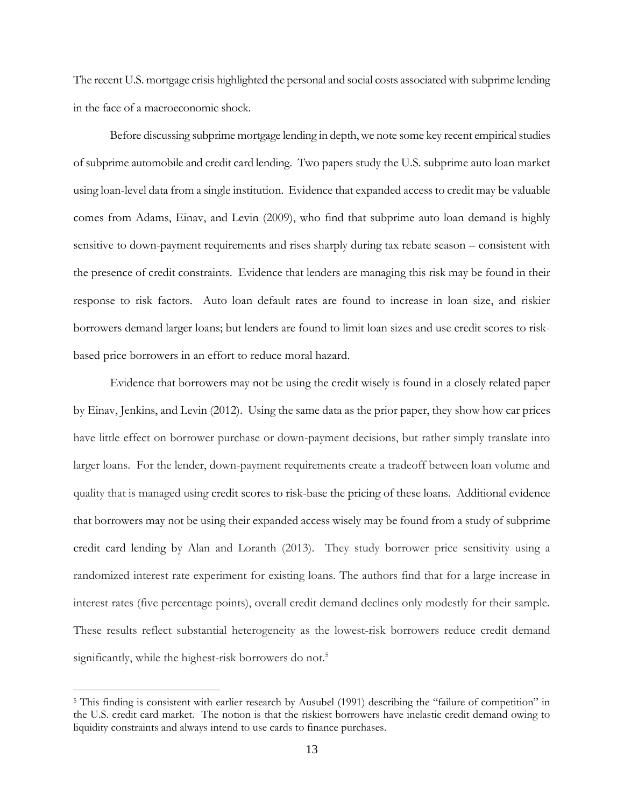The recent U.S. mortgage crisis highlighted the personal and social costs associated with subprime lending in the face of a macroeconomic shock.

Before discussing subprime mortgage lending in depth, we note some key recent empirical studies of subprime automobile and credit card lending. Two papers study the U.S. subprime auto loan market using loan-level data from a single institution. Evidence that expanded access to credit may be valuable comes from Adams, Einav, and Levin (2009), who find that subprime auto loan demand is highly sensitive to down-payment requirements and rises sharply during tax rebate season – consistent with the presence of credit constraints. Evidence that lenders are managing this risk may be found in their response to risk factors. Auto loan default rates are found to increase in loan size, and riskier borrowers demand larger loans; but lenders are found to limit loan sizes and use credit scores to riskbased price borrowers in an effort to reduce moral hazard.

Evidence that borrowers may not be using the credit wisely is found in a closely related paper by Einav, Jenkins, and Levin (2012). Using the same data as the prior paper, they show how car prices have little effect on borrower purchase or down-payment decisions, but rather simply translate into larger loans. For the lender, down-payment requirements create a tradeoff between loan volume and quality that is managed using credit scores to risk-base the pricing of these loans. Additional evidence that borrowers may not be using their expanded access wisely may be found from a study of subprime credit card lending by Alan and Loranth (2013). They study borrower price sensitivity using a randomized interest rate experiment for existing loans. The authors find that for a large increase in interest rates (five percentage points), overall credit demand declines only modestly for their sample. These results reflect substantial heterogeneity as the lowest-risk borrowers reduce credit demand significantly, while the highest-risk borrowers do not.<sup>5</sup>

<sup>&</sup>lt;sup>5</sup> This finding is consistent with earlier research by Ausubel (1991) describing the "failure of competition" in the U.S. credit card market. The notion is that the riskiest borrowers have inelastic credit demand owing to liquidity constraints and always intend to use cards to finance purchases.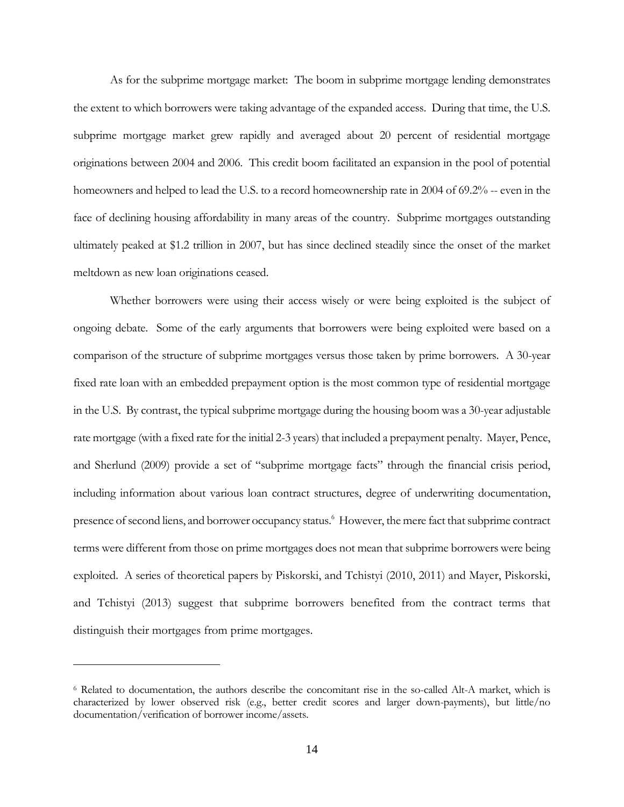As for the subprime mortgage market: The boom in subprime mortgage lending demonstrates the extent to which borrowers were taking advantage of the expanded access. During that time, the U.S. subprime mortgage market grew rapidly and averaged about 20 percent of residential mortgage originations between 2004 and 2006. This credit boom facilitated an expansion in the pool of potential homeowners and helped to lead the U.S. to a record homeownership rate in 2004 of 69.2% -- even in the face of declining housing affordability in many areas of the country. Subprime mortgages outstanding ultimately peaked at \$1.2 trillion in 2007, but has since declined steadily since the onset of the market meltdown as new loan originations ceased.

Whether borrowers were using their access wisely or were being exploited is the subject of ongoing debate. Some of the early arguments that borrowers were being exploited were based on a comparison of the structure of subprime mortgages versus those taken by prime borrowers. A 30-year fixed rate loan with an embedded prepayment option is the most common type of residential mortgage in the U.S. By contrast, the typical subprime mortgage during the housing boom was a 30-year adjustable rate mortgage (with a fixed rate for the initial 2-3 years) that included a prepayment penalty. Mayer, Pence, and Sherlund (2009) provide a set of "subprime mortgage facts" through the financial crisis period, including information about various loan contract structures, degree of underwriting documentation, presence of second liens, and borrower occupancy status.<sup>6</sup> However, the mere fact that subprime contract terms were different from those on prime mortgages does not mean that subprime borrowers were being exploited. A series of theoretical papers by Piskorski, and Tchistyi (2010, 2011) and Mayer, Piskorski, and Tchistyi (2013) suggest that subprime borrowers benefited from the contract terms that distinguish their mortgages from prime mortgages.

<sup>6</sup> Related to documentation, the authors describe the concomitant rise in the so-called Alt-A market, which is characterized by lower observed risk (e.g., better credit scores and larger down-payments), but little/no documentation/verification of borrower income/assets.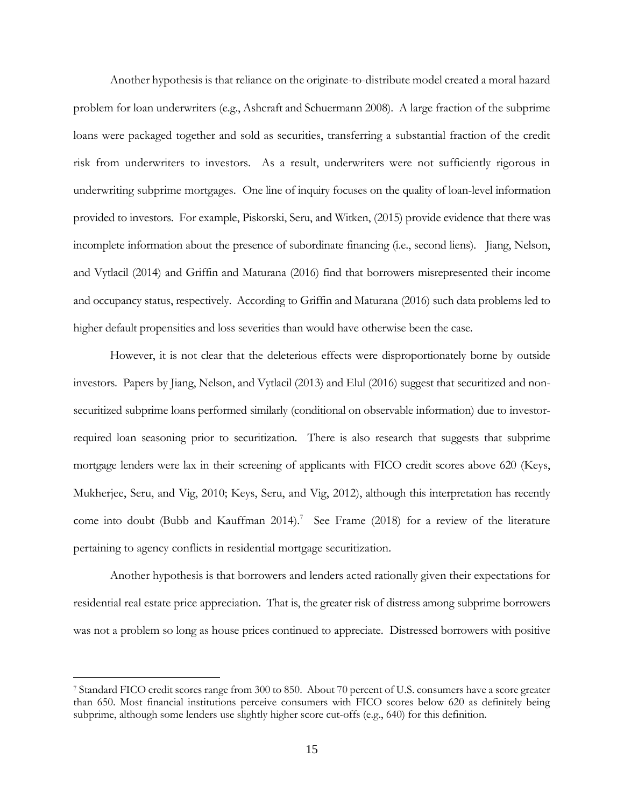Another hypothesis is that reliance on the originate-to-distribute model created a moral hazard problem for loan underwriters (e.g., Ashcraft and Schuermann 2008). A large fraction of the subprime loans were packaged together and sold as securities, transferring a substantial fraction of the credit risk from underwriters to investors. As a result, underwriters were not sufficiently rigorous in underwriting subprime mortgages. One line of inquiry focuses on the quality of loan-level information provided to investors. For example, Piskorski, Seru, and Witken, (2015) provide evidence that there was incomplete information about the presence of subordinate financing (i.e., second liens). Jiang, Nelson, and Vytlacil (2014) and Griffin and Maturana (2016) find that borrowers misrepresented their income and occupancy status, respectively. According to Griffin and Maturana (2016) such data problems led to higher default propensities and loss severities than would have otherwise been the case.

However, it is not clear that the deleterious effects were disproportionately borne by outside investors. Papers by Jiang, Nelson, and Vytlacil (2013) and Elul (2016) suggest that securitized and nonsecuritized subprime loans performed similarly (conditional on observable information) due to investorrequired loan seasoning prior to securitization. There is also research that suggests that subprime mortgage lenders were lax in their screening of applicants with FICO credit scores above 620 (Keys, Mukherjee, Seru, and Vig, 2010; Keys, Seru, and Vig, 2012), although this interpretation has recently come into doubt (Bubb and Kauffman 2014).<sup>7</sup> See Frame (2018) for a review of the literature pertaining to agency conflicts in residential mortgage securitization.

Another hypothesis is that borrowers and lenders acted rationally given their expectations for residential real estate price appreciation. That is, the greater risk of distress among subprime borrowers was not a problem so long as house prices continued to appreciate. Distressed borrowers with positive

<sup>7</sup> Standard FICO credit scores range from 300 to 850. About 70 percent of U.S. consumers have a score greater than 650. Most financial institutions perceive consumers with FICO scores below 620 as definitely being subprime, although some lenders use slightly higher score cut-offs (e.g., 640) for this definition.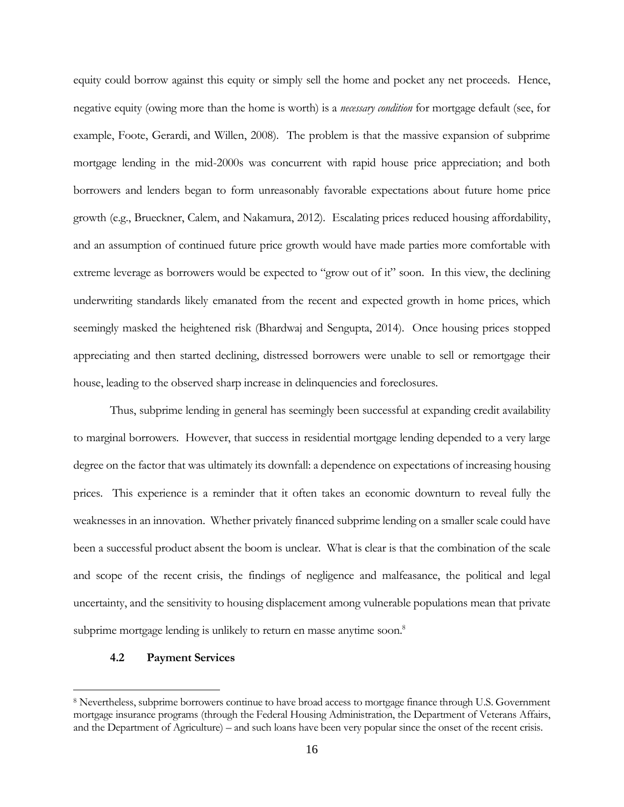equity could borrow against this equity or simply sell the home and pocket any net proceeds. Hence, negative equity (owing more than the home is worth) is a *necessary condition* for mortgage default (see, for example, Foote, Gerardi, and Willen, 2008). The problem is that the massive expansion of subprime mortgage lending in the mid-2000s was concurrent with rapid house price appreciation; and both borrowers and lenders began to form unreasonably favorable expectations about future home price growth (e.g., Brueckner, Calem, and Nakamura, 2012). Escalating prices reduced housing affordability, and an assumption of continued future price growth would have made parties more comfortable with extreme leverage as borrowers would be expected to "grow out of it" soon. In this view, the declining underwriting standards likely emanated from the recent and expected growth in home prices, which seemingly masked the heightened risk (Bhardwaj and Sengupta, 2014). Once housing prices stopped appreciating and then started declining, distressed borrowers were unable to sell or remortgage their house, leading to the observed sharp increase in delinquencies and foreclosures.

Thus, subprime lending in general has seemingly been successful at expanding credit availability to marginal borrowers. However, that success in residential mortgage lending depended to a very large degree on the factor that was ultimately its downfall: a dependence on expectations of increasing housing prices. This experience is a reminder that it often takes an economic downturn to reveal fully the weaknesses in an innovation. Whether privately financed subprime lending on a smaller scale could have been a successful product absent the boom is unclear. What is clear is that the combination of the scale and scope of the recent crisis, the findings of negligence and malfeasance, the political and legal uncertainty, and the sensitivity to housing displacement among vulnerable populations mean that private subprime mortgage lending is unlikely to return en masse anytime soon.<sup>8</sup>

# **4.2 Payment Services**

<sup>8</sup> Nevertheless, subprime borrowers continue to have broad access to mortgage finance through U.S. Government mortgage insurance programs (through the Federal Housing Administration, the Department of Veterans Affairs, and the Department of Agriculture) – and such loans have been very popular since the onset of the recent crisis.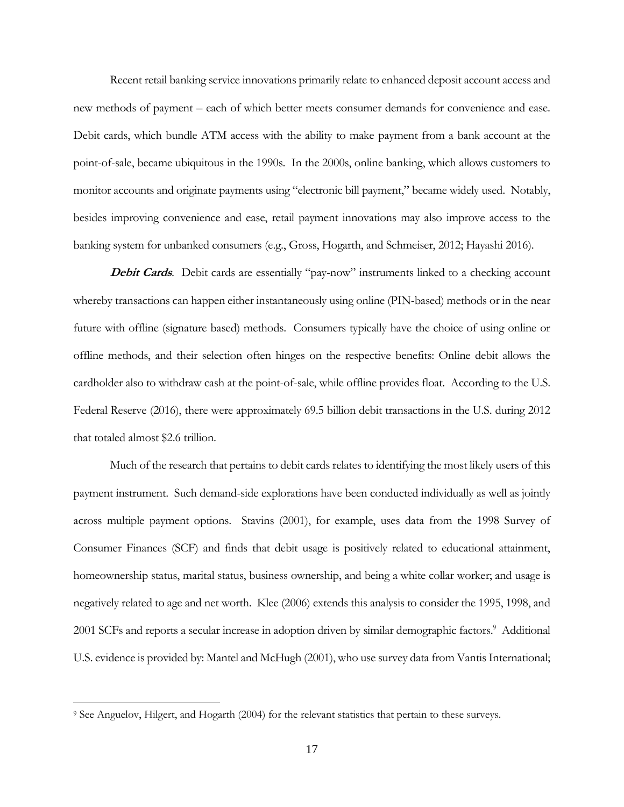Recent retail banking service innovations primarily relate to enhanced deposit account access and new methods of payment – each of which better meets consumer demands for convenience and ease. Debit cards, which bundle ATM access with the ability to make payment from a bank account at the point-of-sale, became ubiquitous in the 1990s. In the 2000s, online banking, which allows customers to monitor accounts and originate payments using "electronic bill payment," became widely used. Notably, besides improving convenience and ease, retail payment innovations may also improve access to the banking system for unbanked consumers (e.g., Gross, Hogarth, and Schmeiser, 2012; Hayashi 2016).

**Debit Cards**. Debit cards are essentially "pay-now" instruments linked to a checking account whereby transactions can happen either instantaneously using online (PIN-based) methods or in the near future with offline (signature based) methods. Consumers typically have the choice of using online or offline methods, and their selection often hinges on the respective benefits: Online debit allows the cardholder also to withdraw cash at the point-of-sale, while offline provides float. According to the U.S. Federal Reserve (2016), there were approximately 69.5 billion debit transactions in the U.S. during 2012 that totaled almost \$2.6 trillion.

Much of the research that pertains to debit cards relates to identifying the most likely users of this payment instrument. Such demand-side explorations have been conducted individually as well as jointly across multiple payment options. Stavins (2001), for example, uses data from the 1998 Survey of Consumer Finances (SCF) and finds that debit usage is positively related to educational attainment, homeownership status, marital status, business ownership, and being a white collar worker; and usage is negatively related to age and net worth. Klee (2006) extends this analysis to consider the 1995, 1998, and 2001 SCFs and reports a secular increase in adoption driven by similar demographic factors.<sup>9</sup> Additional U.S. evidence is provided by: Mantel and McHugh (2001), who use survey data from Vantis International;

<sup>9</sup> See Anguelov, Hilgert, and Hogarth (2004) for the relevant statistics that pertain to these surveys.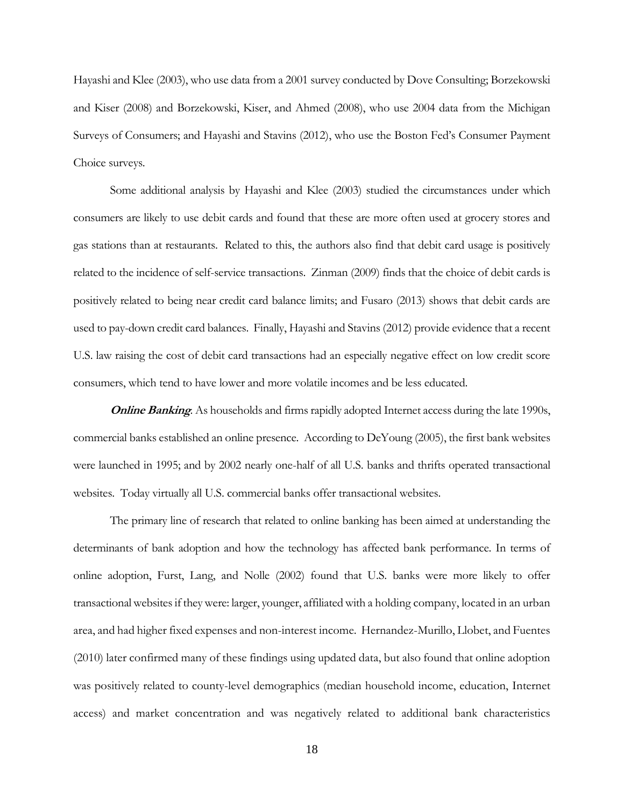Hayashi and Klee (2003), who use data from a 2001 survey conducted by Dove Consulting; Borzekowski and Kiser (2008) and Borzekowski, Kiser, and Ahmed (2008), who use 2004 data from the Michigan Surveys of Consumers; and Hayashi and Stavins (2012), who use the Boston Fed's Consumer Payment Choice surveys.

Some additional analysis by Hayashi and Klee (2003) studied the circumstances under which consumers are likely to use debit cards and found that these are more often used at grocery stores and gas stations than at restaurants. Related to this, the authors also find that debit card usage is positively related to the incidence of self-service transactions. Zinman (2009) finds that the choice of debit cards is positively related to being near credit card balance limits; and Fusaro (2013) shows that debit cards are used to pay-down credit card balances. Finally, Hayashi and Stavins (2012) provide evidence that a recent U.S. law raising the cost of debit card transactions had an especially negative effect on low credit score consumers, which tend to have lower and more volatile incomes and be less educated.

**Online Banking**. As households and firms rapidly adopted Internet access during the late 1990s, commercial banks established an online presence. According to DeYoung (2005), the first bank websites were launched in 1995; and by 2002 nearly one-half of all U.S. banks and thrifts operated transactional websites. Today virtually all U.S. commercial banks offer transactional websites.

The primary line of research that related to online banking has been aimed at understanding the determinants of bank adoption and how the technology has affected bank performance. In terms of online adoption, Furst, Lang, and Nolle (2002) found that U.S. banks were more likely to offer transactional websites if they were: larger, younger, affiliated with a holding company, located in an urban area, and had higher fixed expenses and non-interest income. Hernandez-Murillo, Llobet, and Fuentes (2010) later confirmed many of these findings using updated data, but also found that online adoption was positively related to county-level demographics (median household income, education, Internet access) and market concentration and was negatively related to additional bank characteristics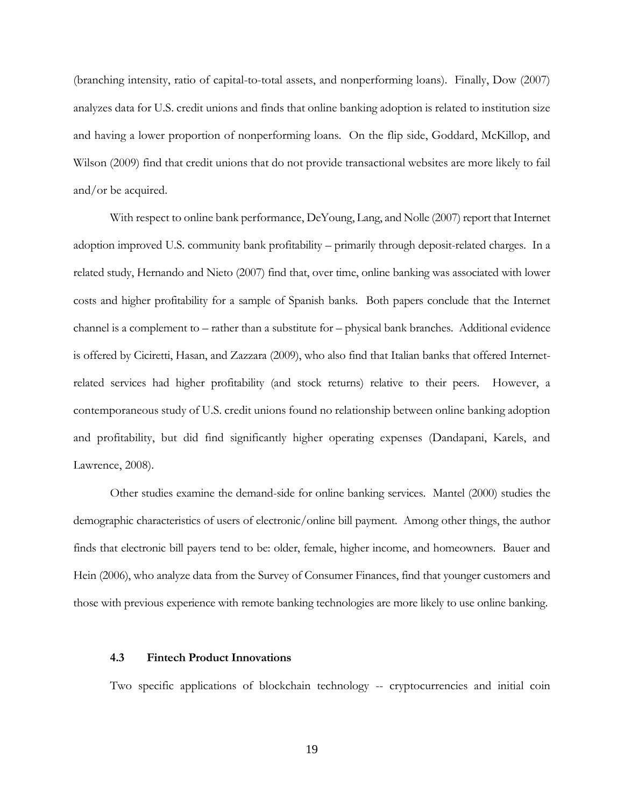(branching intensity, ratio of capital-to-total assets, and nonperforming loans). Finally, Dow (2007) analyzes data for U.S. credit unions and finds that online banking adoption is related to institution size and having a lower proportion of nonperforming loans. On the flip side, Goddard, McKillop, and Wilson (2009) find that credit unions that do not provide transactional websites are more likely to fail and/or be acquired.

With respect to online bank performance, DeYoung, Lang, and Nolle (2007) report that Internet adoption improved U.S. community bank profitability – primarily through deposit-related charges. In a related study, Hernando and Nieto (2007) find that, over time, online banking was associated with lower costs and higher profitability for a sample of Spanish banks. Both papers conclude that the Internet channel is a complement to – rather than a substitute for – physical bank branches. Additional evidence is offered by Ciciretti, Hasan, and Zazzara (2009), who also find that Italian banks that offered Internetrelated services had higher profitability (and stock returns) relative to their peers. However, a contemporaneous study of U.S. credit unions found no relationship between online banking adoption and profitability, but did find significantly higher operating expenses (Dandapani, Karels, and Lawrence, 2008).

Other studies examine the demand-side for online banking services. Mantel (2000) studies the demographic characteristics of users of electronic/online bill payment. Among other things, the author finds that electronic bill payers tend to be: older, female, higher income, and homeowners. Bauer and Hein (2006), who analyze data from the Survey of Consumer Finances, find that younger customers and those with previous experience with remote banking technologies are more likely to use online banking.

#### **4.3 Fintech Product Innovations**

Two specific applications of blockchain technology -- cryptocurrencies and initial coin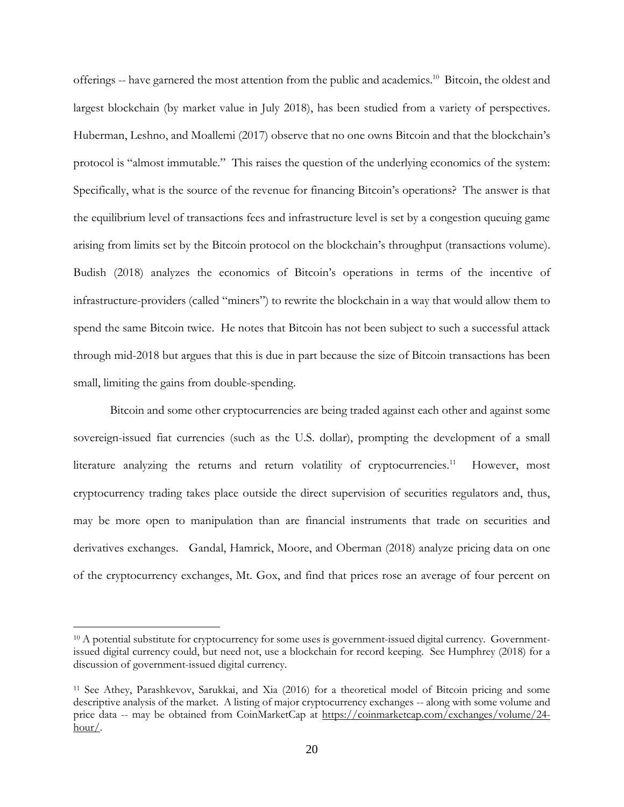offerings -- have garnered the most attention from the public and academics.<sup>10</sup> Bitcoin, the oldest and largest blockchain (by market value in July 2018), has been studied from a variety of perspectives. Huberman, Leshno, and Moallemi (2017) observe that no one owns Bitcoin and that the blockchain's protocol is "almost immutable." This raises the question of the underlying economics of the system: Specifically, what is the source of the revenue for financing Bitcoin's operations? The answer is that the equilibrium level of transactions fees and infrastructure level is set by a congestion queuing game arising from limits set by the Bitcoin protocol on the blockchain's throughput (transactions volume). Budish (2018) analyzes the economics of Bitcoin's operations in terms of the incentive of infrastructure-providers (called "miners") to rewrite the blockchain in a way that would allow them to spend the same Bitcoin twice. He notes that Bitcoin has not been subject to such a successful attack through mid-2018 but argues that this is due in part because the size of Bitcoin transactions has been small, limiting the gains from double-spending.

Bitcoin and some other cryptocurrencies are being traded against each other and against some sovereign-issued fiat currencies (such as the U.S. dollar), prompting the development of a small literature analyzing the returns and return volatility of cryptocurrencies.<sup>11</sup> However, most cryptocurrency trading takes place outside the direct supervision of securities regulators and, thus, may be more open to manipulation than are financial instruments that trade on securities and derivatives exchanges. Gandal, Hamrick, Moore, and Oberman (2018) analyze pricing data on one of the cryptocurrency exchanges, Mt. Gox, and find that prices rose an average of four percent on

<sup>&</sup>lt;sup>10</sup> A potential substitute for cryptocurrency for some uses is government-issued digital currency. Governmentissued digital currency could, but need not, use a blockchain for record keeping. See Humphrey (2018) for a discussion of government-issued digital currency.

<sup>11</sup> See Athey, Parashkevov, Sarukkai, and Xia (2016) for a theoretical model of Bitcoin pricing and some descriptive analysis of the market. A listing of major cryptocurrency exchanges -- along with some volume and price data -- may be obtained from CoinMarketCap at [https://coinmarketcap.com/exchanges/volume/24](https://coinmarketcap.com/exchanges/volume/24-hour/) [hour/.](https://coinmarketcap.com/exchanges/volume/24-hour/)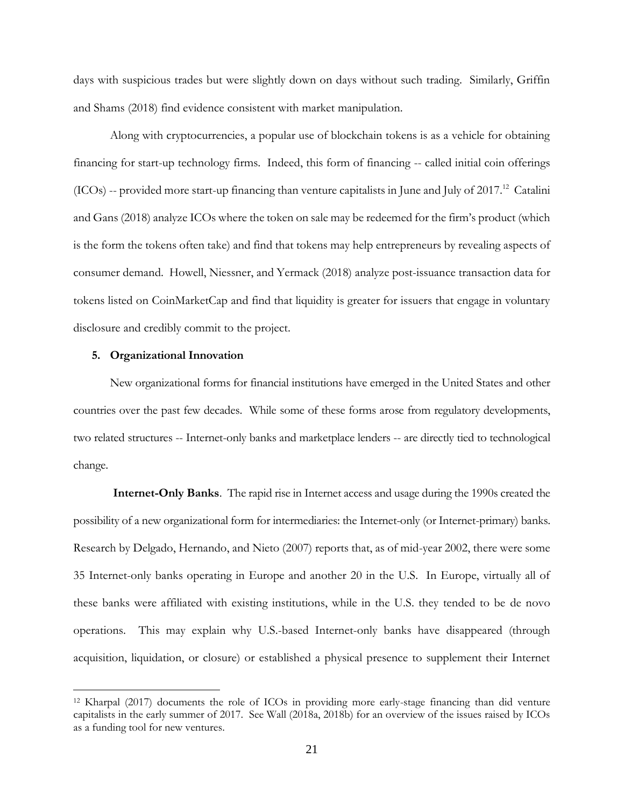days with suspicious trades but were slightly down on days without such trading. Similarly, Griffin and Shams (2018) find evidence consistent with market manipulation.

Along with cryptocurrencies, a popular use of blockchain tokens is as a vehicle for obtaining financing for start-up technology firms. Indeed, this form of financing -- called initial coin offerings  $(ICOs)$  -- provided more start-up financing than venture capitalists in June and July of 2017.<sup>12</sup> Catalini and Gans (2018) analyze ICOs where the token on sale may be redeemed for the firm's product (which is the form the tokens often take) and find that tokens may help entrepreneurs by revealing aspects of consumer demand. Howell, Niessner, and Yermack (2018) analyze post-issuance transaction data for tokens listed on CoinMarketCap and find that liquidity is greater for issuers that engage in voluntary disclosure and credibly commit to the project.

#### **5. Organizational Innovation**

 $\overline{a}$ 

New organizational forms for financial institutions have emerged in the United States and other countries over the past few decades. While some of these forms arose from regulatory developments, two related structures -- Internet-only banks and marketplace lenders -- are directly tied to technological change.

**Internet-Only Banks**. The rapid rise in Internet access and usage during the 1990s created the possibility of a new organizational form for intermediaries: the Internet-only (or Internet-primary) banks. Research by Delgado, Hernando, and Nieto (2007) reports that, as of mid-year 2002, there were some 35 Internet-only banks operating in Europe and another 20 in the U.S. In Europe, virtually all of these banks were affiliated with existing institutions, while in the U.S. they tended to be de novo operations. This may explain why U.S.-based Internet-only banks have disappeared (through acquisition, liquidation, or closure) or established a physical presence to supplement their Internet

<sup>12</sup> Kharpal (2017) documents the role of ICOs in providing more early-stage financing than did venture capitalists in the early summer of 2017. See Wall (2018a, 2018b) for an overview of the issues raised by ICOs as a funding tool for new ventures.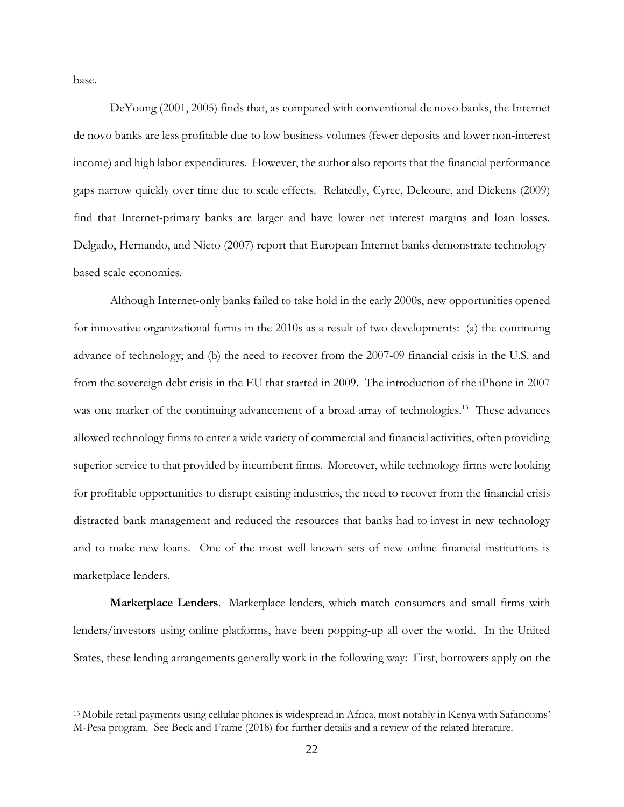base.

 $\overline{a}$ 

DeYoung (2001, 2005) finds that, as compared with conventional de novo banks, the Internet de novo banks are less profitable due to low business volumes (fewer deposits and lower non-interest income) and high labor expenditures. However, the author also reports that the financial performance gaps narrow quickly over time due to scale effects. Relatedly, Cyree, Delcoure, and Dickens (2009) find that Internet-primary banks are larger and have lower net interest margins and loan losses. Delgado, Hernando, and Nieto (2007) report that European Internet banks demonstrate technologybased scale economies.

Although Internet-only banks failed to take hold in the early 2000s, new opportunities opened for innovative organizational forms in the 2010s as a result of two developments: (a) the continuing advance of technology; and (b) the need to recover from the 2007-09 financial crisis in the U.S. and from the sovereign debt crisis in the EU that started in 2009. The introduction of the iPhone in 2007 was one marker of the continuing advancement of a broad array of technologies.<sup>13</sup> These advances allowed technology firms to enter a wide variety of commercial and financial activities, often providing superior service to that provided by incumbent firms. Moreover, while technology firms were looking for profitable opportunities to disrupt existing industries, the need to recover from the financial crisis distracted bank management and reduced the resources that banks had to invest in new technology and to make new loans. One of the most well-known sets of new online financial institutions is marketplace lenders.

**Marketplace Lenders**. Marketplace lenders, which match consumers and small firms with lenders/investors using online platforms, have been popping-up all over the world. In the United States, these lending arrangements generally work in the following way: First, borrowers apply on the

<sup>13</sup> Mobile retail payments using cellular phones is widespread in Africa, most notably in Kenya with Safaricoms' M-Pesa program. See Beck and Frame (2018) for further details and a review of the related literature.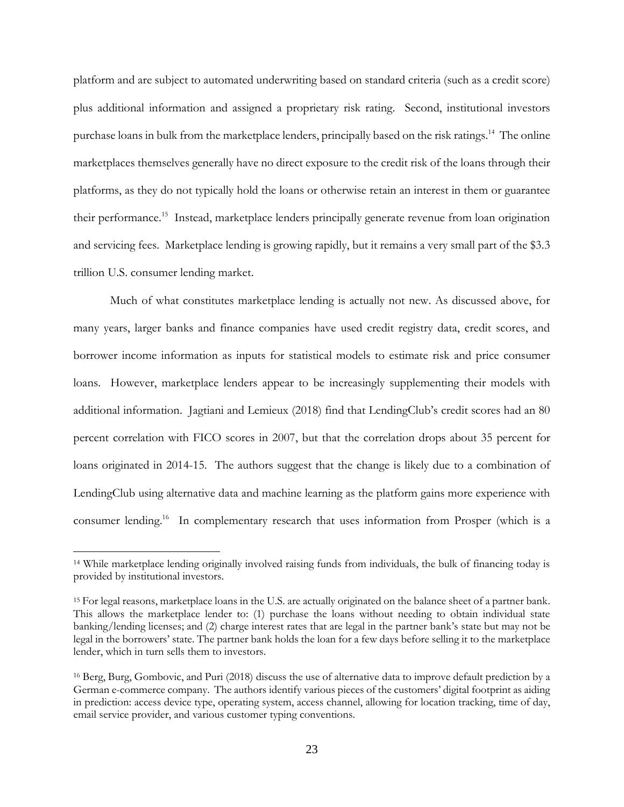platform and are subject to automated underwriting based on standard criteria (such as a credit score) plus additional information and assigned a proprietary risk rating. Second, institutional investors purchase loans in bulk from the marketplace lenders, principally based on the risk ratings.<sup>14</sup> The online marketplaces themselves generally have no direct exposure to the credit risk of the loans through their platforms, as they do not typically hold the loans or otherwise retain an interest in them or guarantee their performance.<sup>15</sup> Instead, marketplace lenders principally generate revenue from loan origination and servicing fees. Marketplace lending is growing rapidly, but it remains a very small part of the \$3.3 trillion U.S. consumer lending market.

Much of what constitutes marketplace lending is actually not new. As discussed above, for many years, larger banks and finance companies have used credit registry data, credit scores, and borrower income information as inputs for statistical models to estimate risk and price consumer loans. However, marketplace lenders appear to be increasingly supplementing their models with additional information. Jagtiani and Lemieux (2018) find that LendingClub's credit scores had an 80 percent correlation with FICO scores in 2007, but that the correlation drops about 35 percent for loans originated in 2014-15. The authors suggest that the change is likely due to a combination of LendingClub using alternative data and machine learning as the platform gains more experience with consumer lending.<sup>16</sup> In complementary research that uses information from Prosper (which is a

<sup>14</sup> While marketplace lending originally involved raising funds from individuals, the bulk of financing today is provided by institutional investors.

<sup>15</sup> For legal reasons, marketplace loans in the U.S. are actually originated on the balance sheet of a partner bank. This allows the marketplace lender to: (1) purchase the loans without needing to obtain individual state banking/lending licenses; and (2) charge interest rates that are legal in the partner bank's state but may not be legal in the borrowers' state. The partner bank holds the loan for a few days before selling it to the marketplace lender, which in turn sells them to investors.

<sup>16</sup> Berg, Burg, Gombovic, and Puri (2018) discuss the use of alternative data to improve default prediction by a German e-commerce company. The authors identify various pieces of the customers' digital footprint as aiding in prediction: access device type, operating system, access channel, allowing for location tracking, time of day, email service provider, and various customer typing conventions.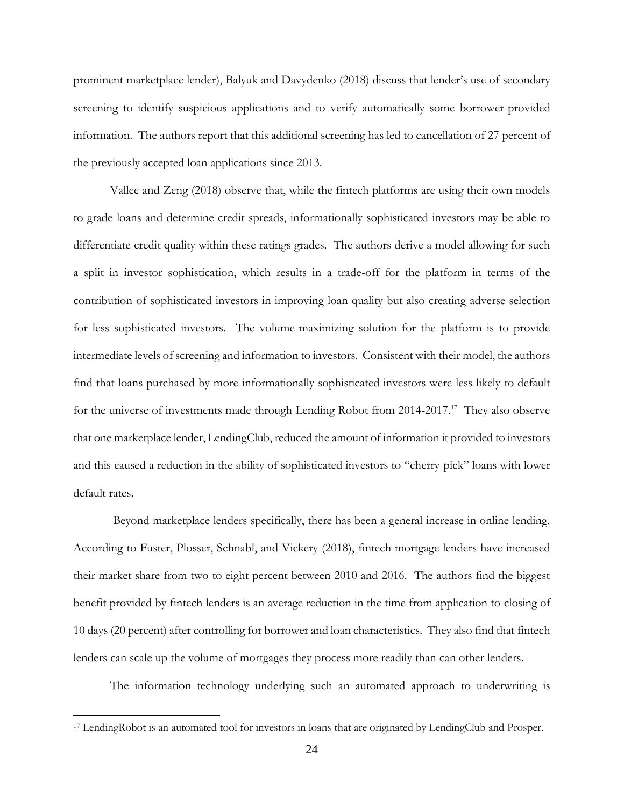prominent marketplace lender), Balyuk and Davydenko (2018) discuss that lender's use of secondary screening to identify suspicious applications and to verify automatically some borrower-provided information. The authors report that this additional screening has led to cancellation of 27 percent of the previously accepted loan applications since 2013.

Vallee and Zeng (2018) observe that, while the fintech platforms are using their own models to grade loans and determine credit spreads, informationally sophisticated investors may be able to differentiate credit quality within these ratings grades. The authors derive a model allowing for such a split in investor sophistication, which results in a trade-off for the platform in terms of the contribution of sophisticated investors in improving loan quality but also creating adverse selection for less sophisticated investors. The volume-maximizing solution for the platform is to provide intermediate levels of screening and information to investors. Consistent with their model, the authors find that loans purchased by more informationally sophisticated investors were less likely to default for the universe of investments made through Lending Robot from 2014-2017.<sup>17</sup> They also observe that one marketplace lender, LendingClub, reduced the amount of information it provided to investors and this caused a reduction in the ability of sophisticated investors to "cherry-pick" loans with lower default rates.

Beyond marketplace lenders specifically, there has been a general increase in online lending. According to Fuster, Plosser, Schnabl, and Vickery (2018), fintech mortgage lenders have increased their market share from two to eight percent between 2010 and 2016. The authors find the biggest benefit provided by fintech lenders is an average reduction in the time from application to closing of 10 days (20 percent) after controlling for borrower and loan characteristics. They also find that fintech lenders can scale up the volume of mortgages they process more readily than can other lenders.

The information technology underlying such an automated approach to underwriting is

<sup>17</sup> LendingRobot is an automated tool for investors in loans that are originated by LendingClub and Prosper.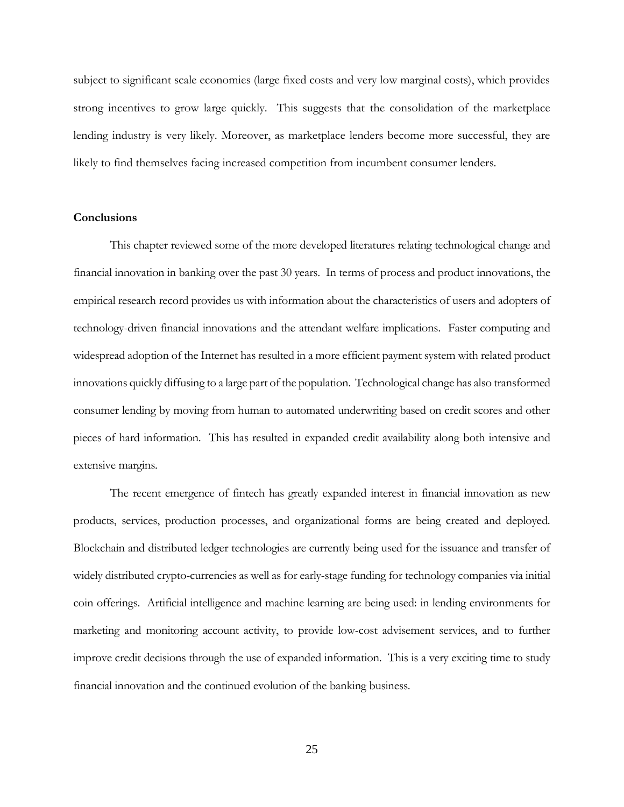subject to significant scale economies (large fixed costs and very low marginal costs), which provides strong incentives to grow large quickly. This suggests that the consolidation of the marketplace lending industry is very likely. Moreover, as marketplace lenders become more successful, they are likely to find themselves facing increased competition from incumbent consumer lenders.

# **Conclusions**

This chapter reviewed some of the more developed literatures relating technological change and financial innovation in banking over the past 30 years. In terms of process and product innovations, the empirical research record provides us with information about the characteristics of users and adopters of technology-driven financial innovations and the attendant welfare implications. Faster computing and widespread adoption of the Internet has resulted in a more efficient payment system with related product innovations quickly diffusing to a large part of the population. Technological change has also transformed consumer lending by moving from human to automated underwriting based on credit scores and other pieces of hard information. This has resulted in expanded credit availability along both intensive and extensive margins.

The recent emergence of fintech has greatly expanded interest in financial innovation as new products, services, production processes, and organizational forms are being created and deployed. Blockchain and distributed ledger technologies are currently being used for the issuance and transfer of widely distributed crypto-currencies as well as for early-stage funding for technology companies via initial coin offerings. Artificial intelligence and machine learning are being used: in lending environments for marketing and monitoring account activity, to provide low-cost advisement services, and to further improve credit decisions through the use of expanded information. This is a very exciting time to study financial innovation and the continued evolution of the banking business.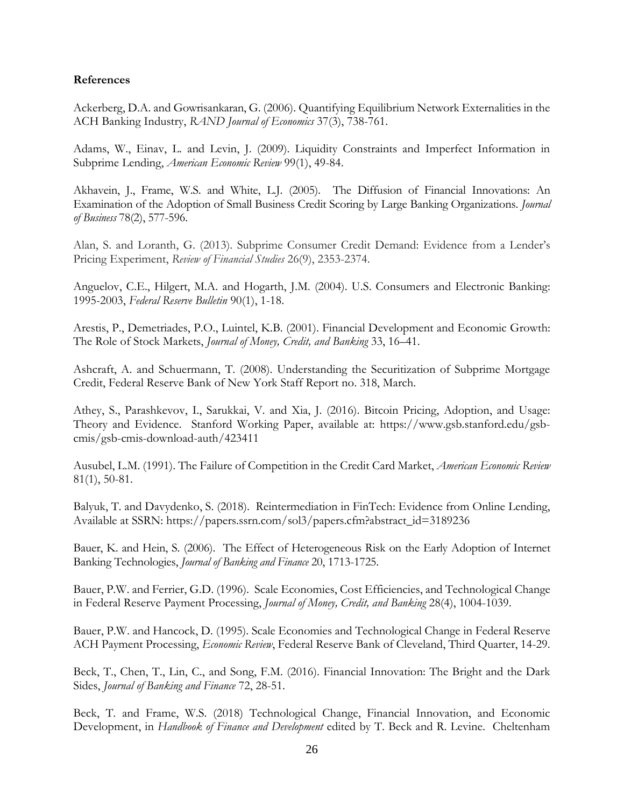# **References**

Ackerberg, D.A. and Gowrisankaran, G. (2006). Quantifying Equilibrium Network Externalities in the ACH Banking Industry, *RAND Journal of Economics* 37(3), 738-761.

Adams, W., Einav, L. and Levin, J. (2009). Liquidity Constraints and Imperfect Information in Subprime Lending, *American Economic Review* 99(1), 49-84.

Akhavein, J., Frame, W.S. and White, L.J. (2005). The Diffusion of Financial Innovations: An Examination of the Adoption of Small Business Credit Scoring by Large Banking Organizations. *Journal of Business* 78(2), 577-596.

Alan, S. and Loranth, G. (2013). Subprime Consumer Credit Demand: Evidence from a Lender's Pricing Experiment, *Review of Financial Studies* 26(9), 2353-2374.

Anguelov, C.E., Hilgert, M.A. and Hogarth, J.M. (2004). U.S. Consumers and Electronic Banking: 1995-2003, *Federal Reserve Bulletin* 90(1), 1-18.

Arestis, P., Demetriades, P.O., Luintel, K.B. (2001). Financial Development and Economic Growth: The Role of Stock Markets, *Journal of Money, Credit, and Banking* 33, 16–41.

Ashcraft, A. and Schuermann, T. (2008). Understanding the Securitization of Subprime Mortgage Credit, Federal Reserve Bank of New York Staff Report no. 318, March.

Athey, S., Parashkevov, I., Sarukkai, V. and Xia, J. (2016). Bitcoin Pricing, Adoption, and Usage: Theory and Evidence. Stanford Working Paper, available at: https://www.gsb.stanford.edu/gsbcmis/gsb-cmis-download-auth/423411

Ausubel, L.M. (1991). The Failure of Competition in the Credit Card Market, *American Economic Review* 81(1), 50-81.

Balyuk, T. and Davydenko, S. (2018). Reintermediation in FinTech: Evidence from Online Lending, Available at SSRN: https://papers.ssrn.com/sol3/papers.cfm?abstract\_id=3189236

Bauer, K. and Hein, S. (2006). The Effect of Heterogeneous Risk on the Early Adoption of Internet Banking Technologies, *Journal of Banking and Finance* 20, 1713-1725.

Bauer, P.W. and Ferrier, G.D. (1996). Scale Economies, Cost Efficiencies, and Technological Change in Federal Reserve Payment Processing, *Journal of Money, Credit, and Banking* 28(4), 1004-1039.

Bauer, P.W. and Hancock, D. (1995). Scale Economies and Technological Change in Federal Reserve ACH Payment Processing, *Economic Review*, Federal Reserve Bank of Cleveland, Third Quarter, 14-29.

Beck, T., Chen, T., Lin, C., and Song, F.M. (2016). Financial Innovation: The Bright and the Dark Sides, *Journal of Banking and Finance* 72, 28-51.

Beck, T. and Frame, W.S. (2018) Technological Change, Financial Innovation, and Economic Development, in *Handbook of Finance and Development* edited by T. Beck and R. Levine. Cheltenham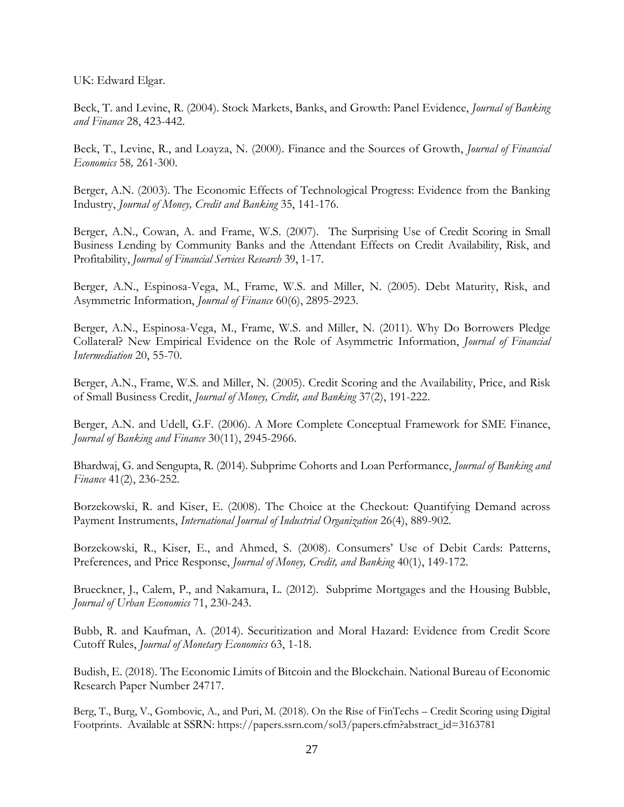UK: Edward Elgar.

Beck, T. and Levine, R. (2004). Stock Markets, Banks, and Growth: Panel Evidence, *Journal of Banking and Finance* 28, 423-442.

Beck, T., Levine, R., and Loayza, N. (2000). Finance and the Sources of Growth, *Journal of Financial Economics* 58*,* 261-300.

Berger, A.N. (2003). The Economic Effects of Technological Progress: Evidence from the Banking Industry, *[Journal of Money, Credit and Banking](http://www.jstor.org/action/showPublication?journalCode=jmonecredbank)* 35, 141-176.

Berger, A.N., Cowan, A. and Frame, W.S. (2007). The Surprising Use of Credit Scoring in Small Business Lending by Community Banks and the Attendant Effects on Credit Availability, Risk, and Profitability, *Journal of Financial Services Research* 39, 1-17.

Berger, A.N., Espinosa-Vega, M., Frame, W.S. and Miller, N. (2005). Debt Maturity, Risk, and Asymmetric Information, *Journal of Finance* 60(6), 2895-2923.

Berger, A.N., Espinosa-Vega, M., Frame, W.S. and Miller, N. (2011). Why Do Borrowers Pledge Collateral? New Empirical Evidence on the Role of Asymmetric Information, *Journal of Financial Intermediation* 20, 55-70.

Berger, A.N., Frame, W.S. and Miller, N. (2005). Credit Scoring and the Availability, Price, and Risk of Small Business Credit, *Journal of Money, Credit, and Banking* 37(2), 191-222.

Berger, A.N. and Udell, G.F. (2006). A More Complete Conceptual Framework for SME Finance, *Journal of Banking and Finance* 30(11), 2945-2966.

Bhardwaj, G. and Sengupta, R. (2014). Subprime Cohorts and Loan Performance, *Journal of Banking and Finance* 41(2), 236-252.

Borzekowski, R. and Kiser, E. (2008). The Choice at the Checkout: Quantifying Demand across Payment Instruments, *International Journal of Industrial Organization* 26(4), 889-902.

Borzekowski, R., Kiser, E., and Ahmed, S. (2008). Consumers' Use of Debit Cards: Patterns, Preferences, and Price Response, *Journal of Money, Credit, and Banking* 40(1), 149-172.

Brueckner, J., Calem, P., and Nakamura, L. (2012). Subprime Mortgages and the Housing Bubble, *Journal of Urban Economics* 71, 230-243.

Bubb, R. and Kaufman, A. (2014). Securitization and Moral Hazard: Evidence from Credit Score Cutoff Rules, *Journal of Monetary Economics* 63, 1-18.

Budish, E. (2018). The Economic Limits of Bitcoin and the Blockchain. National Bureau of Economic Research Paper Number 24717.

Berg, T., Burg, V., Gombovic, A., and Puri, M. (2018). On the Rise of FinTechs – Credit Scoring using Digital Footprints. Available at SSRN: https://papers.ssrn.com/sol3/papers.cfm?abstract\_id=3163781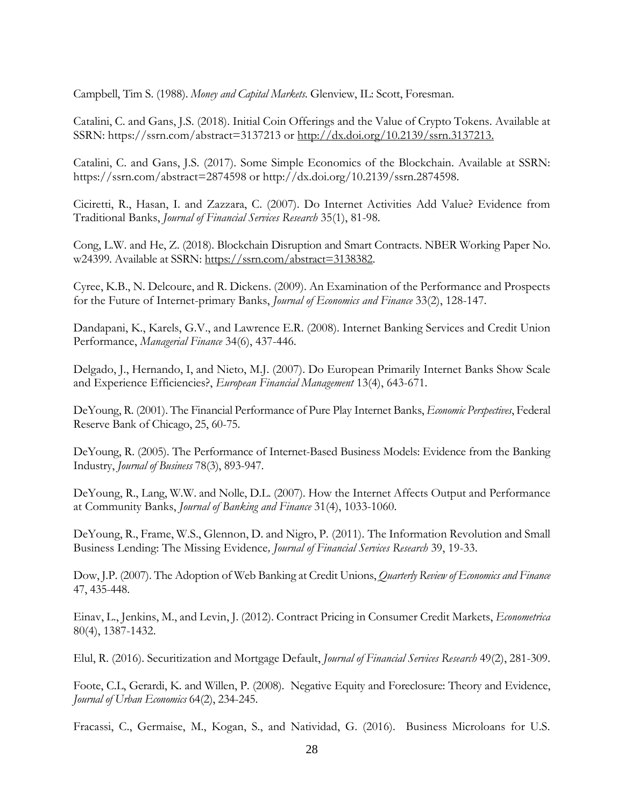Campbell, Tim S. (1988). *Money and Capital Markets*. Glenview, IL: Scott, Foresman.

Catalini, C. and Gans, J.S. (2018). Initial Coin Offerings and the Value of Crypto Tokens. Available at SSRN: https://ssrn.com/abstract=3137213 or [http://dx.doi.org/10.2139/ssrn.3137213.](http://dx.doi.org/10.2139/ssrn.3137213)

Catalini, C. and Gans, J.S. (2017). Some Simple Economics of the Blockchain. Available at SSRN: https://ssrn.com/abstract=2874598 or http://dx.doi.org/10.2139/ssrn.2874598.

Ciciretti, R., Hasan, I. and Zazzara, C. (2007). Do Internet Activities Add Value? Evidence from Traditional Banks, *Journal of Financial Services Research* 35(1), 81-98.

Cong, L.W. and He, Z. (2018). Blockchain Disruption and Smart Contracts. NBER Working Paper No. w24399. Available at SSRN: [https://ssrn.com/abstract=3138382.](https://ssrn.com/abstract=3138382)

Cyree, K.B., N. Delcoure, and R. Dickens. (2009). An Examination of the Performance and Prospects for the Future of Internet-primary Banks, *Journal of Economics and Finance* 33(2), 128-147.

Dandapani, K., Karels, G.V., and Lawrence E.R. (2008). Internet Banking Services and Credit Union Performance, *Managerial Finance* 34(6), 437-446.

Delgado, J., Hernando, I, and Nieto, M.J. (2007). Do European Primarily Internet Banks Show Scale and Experience Efficiencies?, *European Financial Management* 13(4), 643-671.

DeYoung, R. (2001). The Financial Performance of Pure Play Internet Banks, *Economic Perspectives*, Federal Reserve Bank of Chicago, 25, 60-75.

DeYoung, R. (2005). The Performance of Internet-Based Business Models: Evidence from the Banking Industry, *Journal of Business* 78(3), 893-947.

DeYoung, R., Lang, W.W. and Nolle, D.L. (2007). How the Internet Affects Output and Performance at Community Banks, *Journal of Banking and Finance* 31(4), 1033-1060.

DeYoung, R., Frame, W.S., Glennon, D. and Nigro, P. (2011). The Information Revolution and Small Business Lending: The Missing Evidence*, Journal of Financial Services Research* 39, 19-33.

Dow, J.P. (2007). The Adoption of Web Banking at Credit Unions, *Quarterly Review of Economics and Finance* 47, 435-448.

Einav, L., Jenkins, M., and Levin, J. (2012). Contract Pricing in Consumer Credit Markets, *Econometrica* 80(4), 1387-1432.

Elul, R. (2016). Securitization and Mortgage Default, *Journal of Financial Services Research* 49(2), 281-309.

Foote, C.L, Gerardi, K. and Willen, P. (2008). Negative Equity and Foreclosure: Theory and Evidence, *Journal of Urban Economics* 64(2), 234-245.

Fracassi, C., Germaise, M., Kogan, S., and Natividad, G. (2016). Business Microloans for U.S.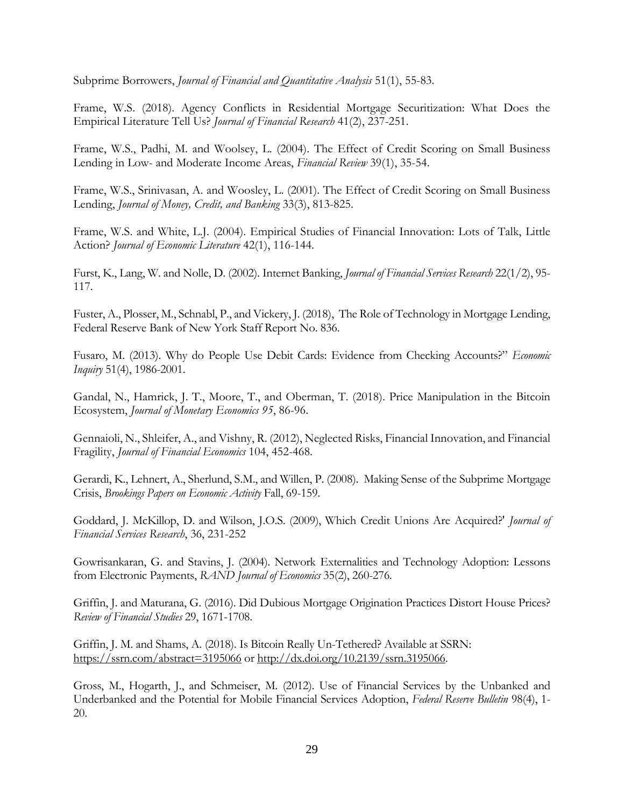Subprime Borrowers, *Journal of Financial and Quantitative Analysis* 51(1), 55-83.

Frame, W.S. (2018). Agency Conflicts in Residential Mortgage Securitization: What Does the Empirical Literature Tell Us? *Journal of Financial Research* 41(2), 237-251.

Frame, W.S., Padhi, M. and Woolsey, L. (2004). The Effect of Credit Scoring on Small Business Lending in Low- and Moderate Income Areas, *Financial Review* 39(1), 35-54.

Frame, W.S., Srinivasan, A. and Woosley, L. (2001). The Effect of Credit Scoring on Small Business Lending, *Journal of Money, Credit, and Banking* 33(3), 813-825.

Frame, W.S. and White, L.J. (2004). Empirical Studies of Financial Innovation: Lots of Talk, Little Action? *Journal of Economic Literature* 42(1), 116-144.

Furst, K., Lang, W. and Nolle, D. (2002). Internet Banking, *Journal of Financial Services Research* 22(1/2), 95- 117.

Fuster, A., Plosser, M., Schnabl, P., and Vickery, J. (2018), The Role of Technology in Mortgage Lending, Federal Reserve Bank of New York Staff Report No. 836.

Fusaro, M. (2013). Why do People Use Debit Cards: Evidence from Checking Accounts?" *Economic Inquiry* 51(4), 1986-2001.

Gandal, N., Hamrick, J. T., Moore, T., and Oberman, T. (2018). Price Manipulation in the Bitcoin Ecosystem, *Journal of Monetary Economics 95*, 86-96.

Gennaioli, N., Shleifer, A., and Vishny, R. (2012), Neglected Risks, Financial Innovation, and Financial Fragility, *Journal of Financial Economics* 104, 452-468.

Gerardi, K., Lehnert, A., Sherlund, S.M., and Willen, P. (2008). Making Sense of the Subprime Mortgage Crisis, *Brookings Papers on Economic Activity* Fall, 69-159.

Goddard, J. McKillop, D. and Wilson, J.O.S. (2009), Which Credit Unions Are Acquired?' *Journal of Financial Services Research*, 36, 231-252

Gowrisankaran, G. and Stavins, J. (2004). Network Externalities and Technology Adoption: Lessons from Electronic Payments, *RAND Journal of Economics* 35(2), 260-276.

Griffin, J. and Maturana, G. (2016). Did Dubious Mortgage Origination Practices Distort House Prices? *Review of Financial Studies* 29, 1671-1708.

Griffin, J. M. and Shams, A. (2018). Is Bitcoin Really Un-Tethered? Available at SSRN: <https://ssrn.com/abstract=3195066> or [http://dx.doi.org/10.2139/ssrn.3195066.](https://dx.doi.org/10.2139/ssrn.3195066)

Gross, M., Hogarth, J., and Schmeiser, M. (2012). Use of Financial Services by the Unbanked and Underbanked and the Potential for Mobile Financial Services Adoption, *Federal Reserve Bulletin* 98(4), 1- 20.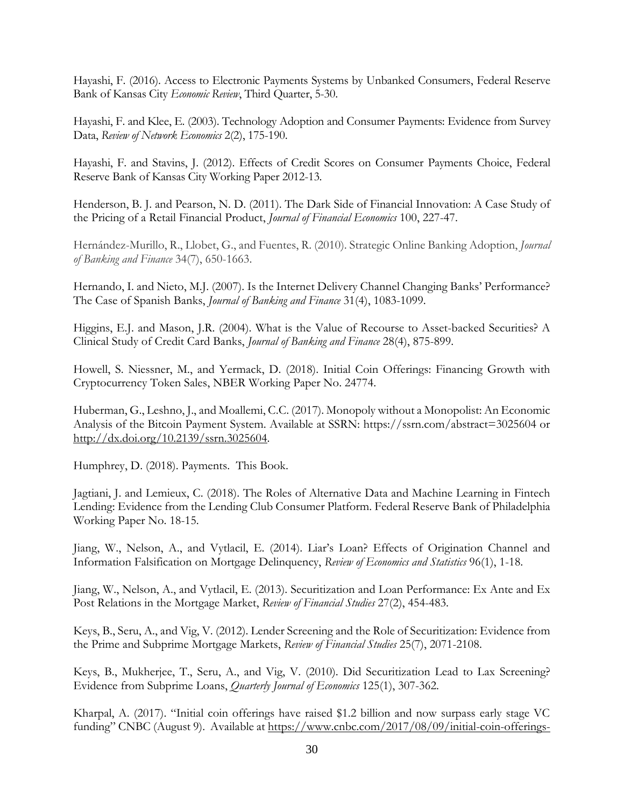Hayashi, F. (2016). Access to Electronic Payments Systems by Unbanked Consumers, Federal Reserve Bank of Kansas City *Economic Review*, Third Quarter, 5-30.

Hayashi, F. and Klee, E. (2003). Technology Adoption and Consumer Payments: Evidence from Survey Data, *Review of Network Economics* 2(2), 175-190.

Hayashi, F. and Stavins, J. (2012). Effects of Credit Scores on Consumer Payments Choice, Federal Reserve Bank of Kansas City Working Paper 2012-13.

Henderson, B. J. and Pearson, N. D. (2011). The Dark Side of Financial Innovation: A Case Study of the Pricing of a Retail Financial Product, *Journal of Financial Economics* 100, 227-47.

Hernández-Murillo, R., Llobet, G., and Fuentes, R. (2010). Strategic Online Banking Adoption, *Journal of Banking and Finance* 34(7), 650-1663.

Hernando, I. and Nieto, M.J. (2007). Is the Internet Delivery Channel Changing Banks' Performance? The Case of Spanish Banks, *Journal of Banking and Finance* 31(4), 1083-1099.

Higgins, E.J. and Mason, J.R. (2004). What is the Value of Recourse to Asset-backed Securities? A Clinical Study of Credit Card Banks, *Journal of Banking and Finance* 28(4), 875-899.

Howell, S. Niessner, M., and Yermack, D. (2018). Initial Coin Offerings: Financing Growth with Cryptocurrency Token Sales, NBER Working Paper No. 24774.

Huberman, G., Leshno, J., and Moallemi, C.C. (2017). Monopoly without a Monopolist: An Economic Analysis of the Bitcoin Payment System. Available at SSRN: https://ssrn.com/abstract=3025604 or [http://dx.doi.org/10.2139/ssrn.3025604.](http://dx.doi.org/10.2139/ssrn.3025604)

Humphrey, D. (2018). Payments. This Book.

Jagtiani, J. and Lemieux, C. (2018). The Roles of Alternative Data and Machine Learning in Fintech Lending: Evidence from the Lending Club Consumer Platform. Federal Reserve Bank of Philadelphia Working Paper No. 18-15.

Jiang, W., Nelson, A., and Vytlacil, E. (2014). Liar's Loan? Effects of Origination Channel and Information Falsification on Mortgage Delinquency, *Review of Economics and Statistics* 96(1), 1-18.

Jiang, W., Nelson, A., and Vytlacil, E. (2013). Securitization and Loan Performance: Ex Ante and Ex Post Relations in the Mortgage Market, *Review of Financial Studies* 27(2), 454-483.

Keys, B., Seru, A., and Vig, V. (2012). Lender Screening and the Role of Securitization: Evidence from the Prime and Subprime Mortgage Markets, *Review of Financial Studies* 25(7), 2071-2108.

Keys, B., Mukherjee, T., Seru, A., and Vig, V. (2010). Did Securitization Lead to Lax Screening? Evidence from Subprime Loans, *Quarterly Journal of Economics* 125(1), 307-362.

Kharpal, A. (2017). "Initial coin offerings have raised \$1.2 billion and now surpass early stage VC funding" CNBC (August 9). Available at [https://www.cnbc.com/2017/08/09/initial-coin-offerings-](https://www.cnbc.com/2017/08/09/initial-coin-offerings-surpass-early-stage-venture-capital-funding.html)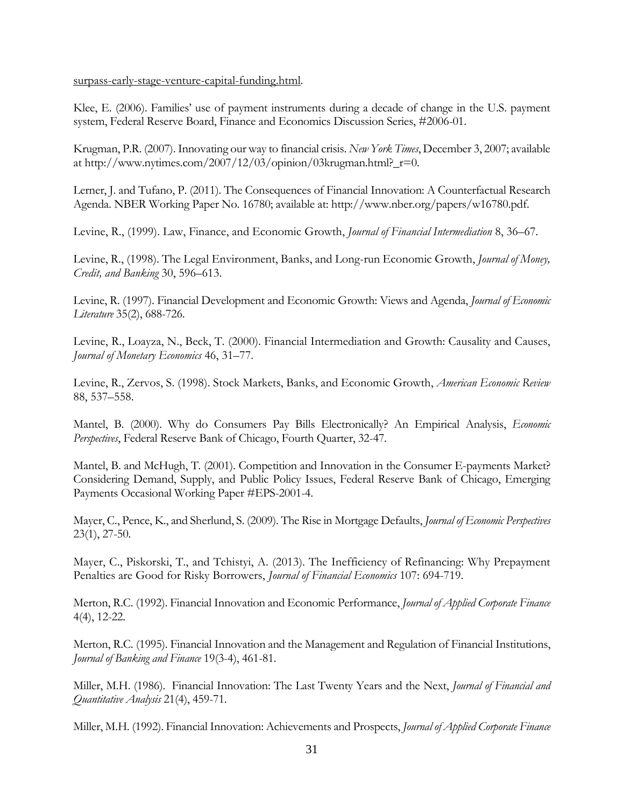[surpass-early-stage-venture-capital-funding.html.](https://www.cnbc.com/2017/08/09/initial-coin-offerings-surpass-early-stage-venture-capital-funding.html)

Klee, E. (2006). Families' use of payment instruments during a decade of change in the U.S. payment system, Federal Reserve Board, Finance and Economics Discussion Series, #2006-01.

Krugman, P.R. (2007). Innovating our way to financial crisis. *New York Times*, December 3, 2007; available at http://www.nytimes.com/2007/12/03/opinion/03krugman.html?\_r=0.

Lerner, J. and Tufano, P. (2011). The Consequences of Financial Innovation: A Counterfactual Research Agenda. NBER Working Paper No. 16780; available at: http://www.nber.org/papers/w16780.pdf.

Levine, R., (1999). Law, Finance, and Economic Growth, *Journal of Financial Intermediation* 8, 36–67.

Levine, R., (1998). The Legal Environment, Banks, and Long-run Economic Growth, *Journal of Money, Credit, and Banking* 30, 596–613.

Levine, R. (1997). Financial Development and Economic Growth: Views and Agenda, *Journal of Economic Literature* 35(2), 688-726.

Levine, R., Loayza, N., Beck, T. (2000). Financial Intermediation and Growth: Causality and Causes, *Journal of Monetary Economics* 46, 31–77.

Levine, R., Zervos, S. (1998). Stock Markets, Banks, and Economic Growth, *American Economic Review* 88, 537–558.

Mantel, B. (2000). Why do Consumers Pay Bills Electronically? An Empirical Analysis, *Economic Perspectives*, Federal Reserve Bank of Chicago, Fourth Quarter, 32-47.

Mantel, B. and McHugh, T. (2001). Competition and Innovation in the Consumer E-payments Market? Considering Demand, Supply, and Public Policy Issues, Federal Reserve Bank of Chicago, Emerging Payments Occasional Working Paper #EPS-2001-4.

Mayer, C., Pence, K., and Sherlund, S. (2009). The Rise in Mortgage Defaults, *Journal of Economic Perspectives* 23(1), 27-50.

Mayer, C., Piskorski, T., and Tchistyi, A. (2013). The Inefficiency of Refinancing: Why Prepayment Penalties are Good for Risky Borrowers, *Journal of Financial Economics* 107: 694-719.

Merton, R.C. (1992). Financial Innovation and Economic Performance, *Journal of Applied Corporate Finance* 4(4), 12-22.

Merton, R.C. (1995). Financial Innovation and the Management and Regulation of Financial Institutions, *Journal of Banking and Finance* 19(3-4), 461-81.

Miller, M.H. (1986). Financial Innovation: The Last Twenty Years and the Next, *Journal of Financial and Quantitative Analysis* 21(4), 459-71.

Miller, M.H. (1992). Financial Innovation: Achievements and Prospects, *Journal of Applied Corporate Finance*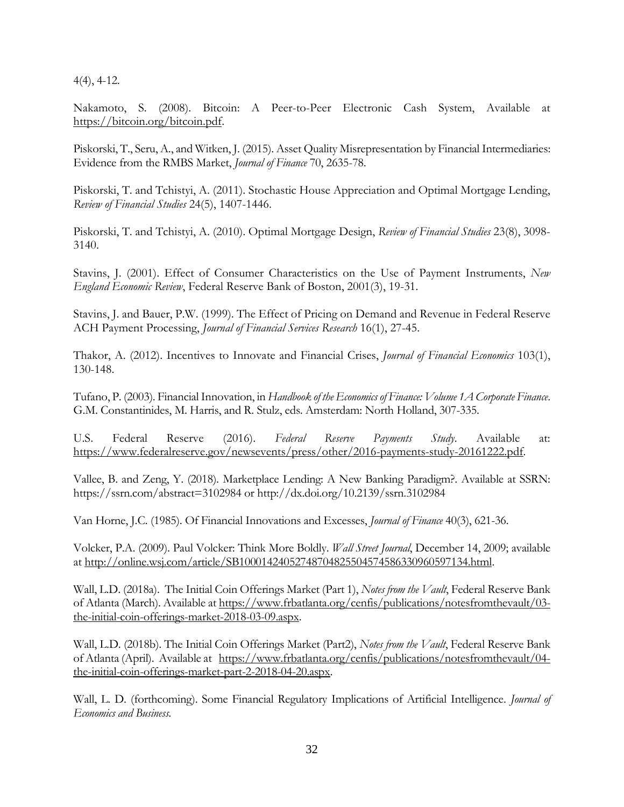4(4), 4-12.

Nakamoto, S. (2008). Bitcoin: A Peer-to-Peer Electronic Cash System, Available at [https://bitcoin.org/bitcoin.pdf.](https://bitcoin.org/bitcoin.pdf)

Piskorski, T., Seru, A., and Witken, J. (2015). Asset Quality Misrepresentation by Financial Intermediaries: Evidence from the RMBS Market, *Journal of Finance* 70, 2635-78.

Piskorski, T. and Tchistyi, A. (2011). Stochastic House Appreciation and Optimal Mortgage Lending, *Review of Financial Studies* 24(5), 1407-1446.

Piskorski, T. and Tchistyi, A. (2010). Optimal Mortgage Design, *Review of Financial Studies* 23(8), 3098- 3140.

Stavins, J. (2001). Effect of Consumer Characteristics on the Use of Payment Instruments, *New England Economic Review*, Federal Reserve Bank of Boston, 2001(3), 19-31.

Stavins, J. and Bauer, P.W. (1999). The Effect of Pricing on Demand and Revenue in Federal Reserve ACH Payment Processing, *Journal of Financial Services Research* 16(1), 27-45.

Thakor, A. (2012). Incentives to Innovate and Financial Crises, *Journal of Financial Economics* 103(1), 130-148.

Tufano, P. (2003). Financial Innovation, in *Handbook of the Economics of Finance: Volume 1A Corporate Finance*. G.M. Constantinides, M. Harris, and R. Stulz, eds. Amsterdam: North Holland, 307-335.

U.S. Federal Reserve (2016). *Federal Reserve Payments Study*. Available at: [https://www.federalreserve.gov/newsevents/press/other/2016-payments-study-20161222.pdf.](https://www.federalreserve.gov/newsevents/press/other/2016-payments-study-20161222.pdf)

Vallee, B. and Zeng, Y. (2018). Marketplace Lending: A New Banking Paradigm?. Available at SSRN: https://ssrn.com/abstract=3102984 or http://dx.doi.org/10.2139/ssrn.3102984

Van Horne, J.C. (1985). Of Financial Innovations and Excesses, *Journal of Finance* 40(3), 621-36.

Volcker, P.A. (2009). Paul Volcker: Think More Boldly. *Wall Street Journal*, December 14, 2009; available at [http://online.wsj.com/article/SB10001424052748704825504574586330960597134.html.](http://online.wsj.com/article/SB10001424052748704825504574586330960597134.html)

Wall, L.D. (2018a). The Initial Coin Offerings Market (Part 1), *Notes from the Vault*, Federal Reserve Bank of Atlanta (March). Available at [https://www.frbatlanta.org/cenfis/publications/notesfromthevault/03](https://www.frbatlanta.org/cenfis/publications/notesfromthevault/03-the-initial-coin-offerings-market-2018-03-09.aspx) [the-initial-coin-offerings-market-2018-03-09.aspx.](https://www.frbatlanta.org/cenfis/publications/notesfromthevault/03-the-initial-coin-offerings-market-2018-03-09.aspx)

Wall, L.D. (2018b). The Initial Coin Offerings Market (Part2), *Notes from the Vault*, Federal Reserve Bank of Atlanta (April). Available at [https://www.frbatlanta.org/cenfis/publications/notesfromthevault/04](https://www.frbatlanta.org/cenfis/publications/notesfromthevault/04-the-initial-coin-offerings-market-part-2-2018-04-20.aspx) [the-initial-coin-offerings-market-part-2-2018-04-20.aspx.](https://www.frbatlanta.org/cenfis/publications/notesfromthevault/04-the-initial-coin-offerings-market-part-2-2018-04-20.aspx)

Wall, L. D. (forthcoming). Some Financial Regulatory Implications of Artificial Intelligence. *Journal of Economics and Business*.